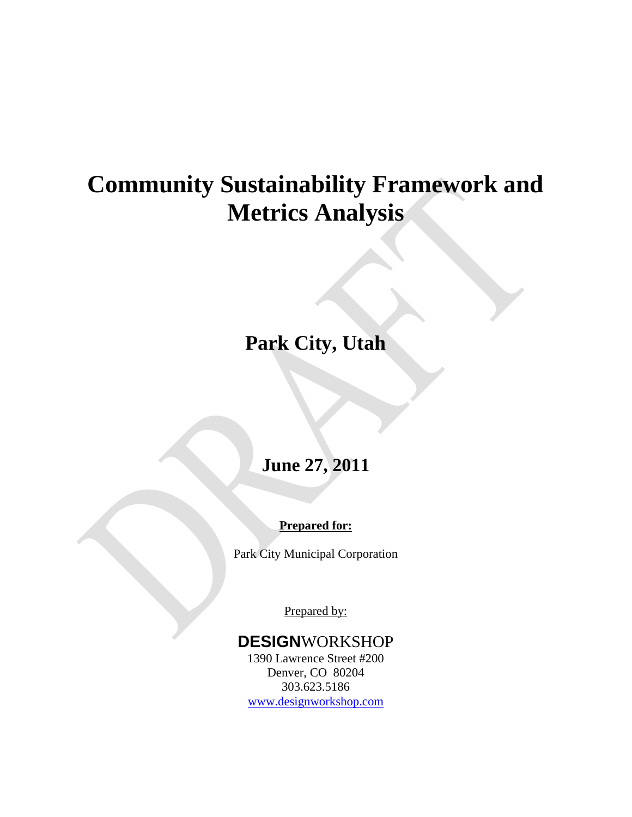# **Community Sustainability Framework and Metrics Analysis**

## **Park City, Utah**

### **June 27, 2011**

### **Prepared for:**

Park City Municipal Corporation

Prepared by:

### **DESIGN**WORKSHOP

1390 Lawrence Street #200 Denver, CO 80204 303.623.5186 [www.designworkshop.com](http://www.designworkshop.com/)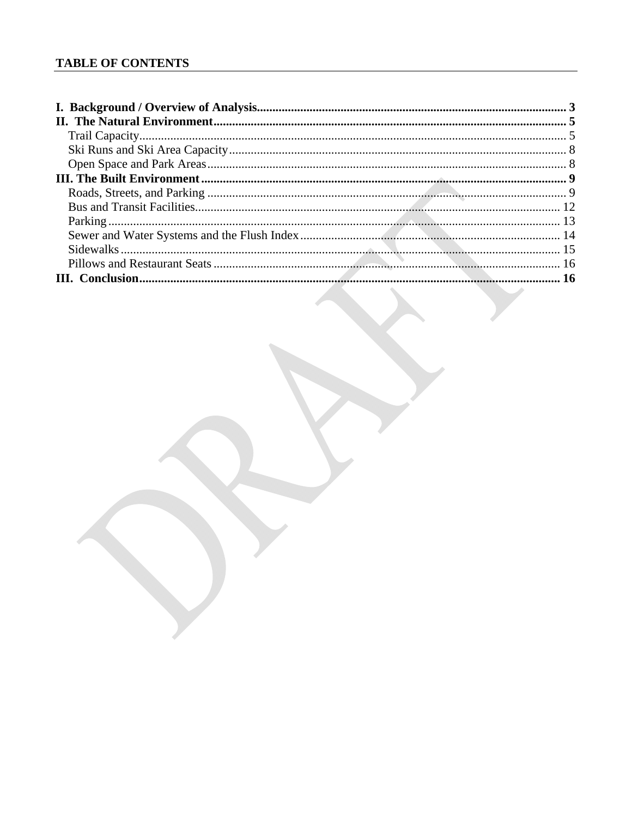#### **TABLE OF CONTENTS**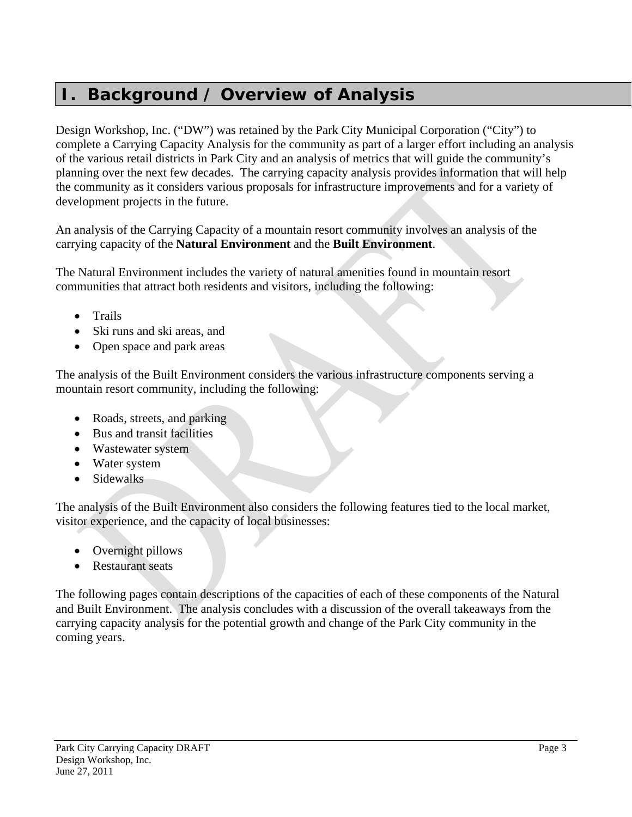### <span id="page-2-0"></span>**I. Background / Overview of Analysis**

Design Workshop, Inc. ("DW") was retained by the Park City Municipal Corporation ("City") to complete a Carrying Capacity Analysis for the community as part of a larger effort including an analysis of the various retail districts in Park City and an analysis of metrics that will guide the community's planning over the next few decades. The carrying capacity analysis provides information that will help the community as it considers various proposals for infrastructure improvements and for a variety of development projects in the future.

An analysis of the Carrying Capacity of a mountain resort community involves an analysis of the carrying capacity of the **Natural Environment** and the **Built Environment**.

The Natural Environment includes the variety of natural amenities found in mountain resort communities that attract both residents and visitors, including the following:

- Trails
- Ski runs and ski areas, and
- Open space and park areas

The analysis of the Built Environment considers the various infrastructure components serving a mountain resort community, including the following:

- Roads, streets, and parking
- Bus and transit facilities
- Wastewater system
- Water system
- Sidewalks

The analysis of the Built Environment also considers the following features tied to the local market, visitor experience, and the capacity of local businesses:

- Overnight pillows
- Restaurant seats

The following pages contain descriptions of the capacities of each of these components of the Natural and Built Environment. The analysis concludes with a discussion of the overall takeaways from the carrying capacity analysis for the potential growth and change of the Park City community in the coming years.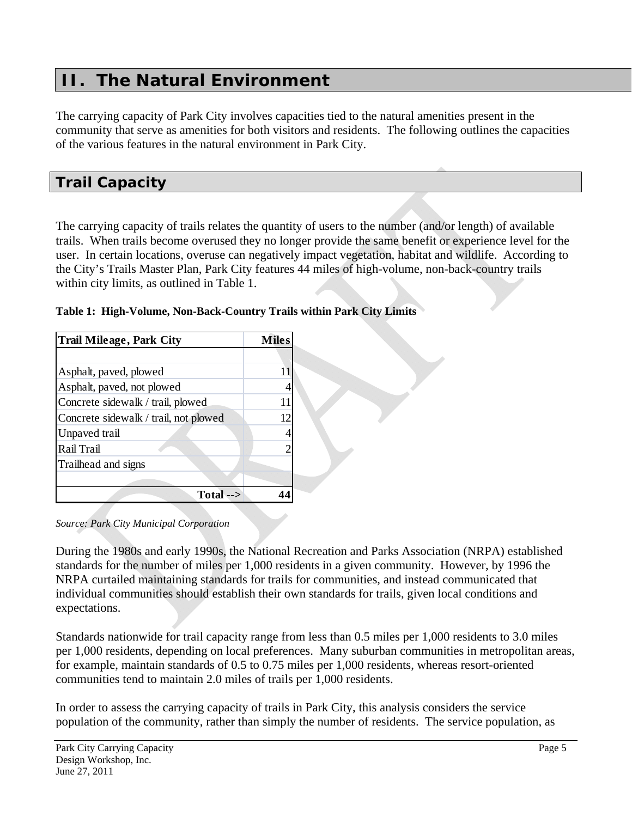### <span id="page-4-0"></span>**II. The Natural Environment**

The carrying capacity of Park City involves capacities tied to the natural amenities present in the community that serve as amenities for both visitors and residents. The following outlines the capacities of the various features in the natural environment in Park City.

### <span id="page-4-1"></span>*Trail Capacity*

The carrying capacity of trails relates the quantity of users to the number (and/or length) of available trails. When trails become overused they no longer provide the same benefit or experience level for the user. In certain locations, overuse can negatively impact vegetation, habitat and wildlife. According to the City's Trails Master Plan, Park City features 44 miles of high-volume, non-back-country trails within city limits, as outlined in [Table 1.](#page-4-2)

| Trail Mileage, Park City              | <b>Miles</b> |
|---------------------------------------|--------------|
|                                       |              |
| Asphalt, paved, plowed                | 11           |
| Asphalt, paved, not plowed            |              |
| Concrete sidewalk / trail, plowed     | 11           |
| Concrete sidewalk / trail, not plowed | 12           |
| <b>Unpaved</b> trail                  |              |
| Rail Trail                            |              |
| Trailhead and signs                   |              |
|                                       |              |
| $Total \rightarrow$                   |              |

<span id="page-4-2"></span>

|  | Table 1: High-Volume, Non-Back-Country Trails within Park City Limits |  |
|--|-----------------------------------------------------------------------|--|
|  |                                                                       |  |

#### *Source: Park City Municipal Corporation*

During the 1980s and early 1990s, the National Recreation and Parks Association (NRPA) established standards for the number of miles per 1,000 residents in a given community. However, by 1996 the NRPA curtailed maintaining standards for trails for communities, and instead communicated that individual communities should establish their own standards for trails, given local conditions and expectations.

Standards nationwide for trail capacity range from less than 0.5 miles per 1,000 residents to 3.0 miles per 1,000 residents, depending on local preferences. Many suburban communities in metropolitan areas, for example, maintain standards of 0.5 to 0.75 miles per 1,000 residents, whereas resort-oriented communities tend to maintain 2.0 miles of trails per 1,000 residents.

In order to assess the carrying capacity of trails in Park City, this analysis considers the service population of the community, rather than simply the number of residents. The service population, as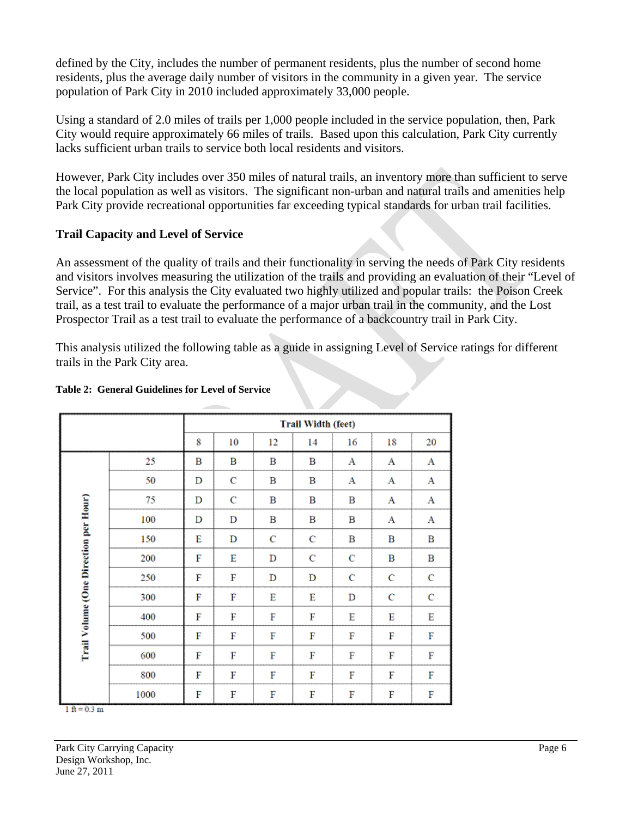defined by the City, includes the number of permanent residents, plus the number of second home residents, plus the average daily number of visitors in the community in a given year. The service population of Park City in 2010 included approximately 33,000 people.

Using a standard of 2.0 miles of trails per 1,000 people included in the service population, then, Park City would require approximately 66 miles of trails. Based upon this calculation, Park City currently lacks sufficient urban trails to service both local residents and visitors.

However, Park City includes over 350 miles of natural trails, an inventory more than sufficient to serve the local population as well as visitors. The significant non-urban and natural trails and amenities help Park City provide recreational opportunities far exceeding typical standards for urban trail facilities.

#### **Trail Capacity and Level of Service**

An assessment of the quality of trails and their functionality in serving the needs of Park City residents and visitors involves measuring the utilization of the trails and providing an evaluation of their "Level of Service". For this analysis the City evaluated two highly utilized and popular trails: the Poison Creek trail, as a test trail to evaluate the performance of a major urban trail in the community, and the Lost Prospector Trail as a test trail to evaluate the performance of a backcountry trail in Park City.

This analysis utilized the following table as a guide in assigning Level of Service ratings for different trails in the Park City area.

|                                       |      | <b>Trail Width (feet)</b> |    |    |    |    |    |    |  |
|---------------------------------------|------|---------------------------|----|----|----|----|----|----|--|
|                                       |      | 8                         | 10 | 12 | 14 | 16 | 18 | 20 |  |
|                                       | 25   | в                         | в  | в  | в  | А  | Α  | A  |  |
|                                       | 50   | D                         | C  | в  | в  | А  | Α  | А  |  |
|                                       | 75   | D                         | C  | в  | в  | B  | Α  | Α  |  |
|                                       | 100  | D                         | D  | В  | В  | В  | А  | A  |  |
| Trail Volume (One Direction per Hour) | 150  | E                         | D  | Ċ  | Ċ  | в  | в  | B  |  |
|                                       | 200  | F                         | E  | D  | C  | C  | В  | в  |  |
|                                       | 250  | F                         | F  | D  | D  | C  | C  | C  |  |
|                                       | 300  | F                         | F  | E  | E  | D  | Ċ  | C  |  |
|                                       | 400  | F                         | F  | F  | F  | Ë  | E  | E  |  |
|                                       | 500  | F                         | F  | F  | F  | F  | F  | F  |  |
|                                       | 600  | F                         | F  | F  | F  | F  | F  | F  |  |
|                                       | 800  | F                         | F  | F  | F  | F  | F  | F  |  |
|                                       | 1000 | F                         | F  | F  | F  | F  | F  | F  |  |

#### **Table 2: General Guidelines for Level of Service**

 $1ft = 0.3m$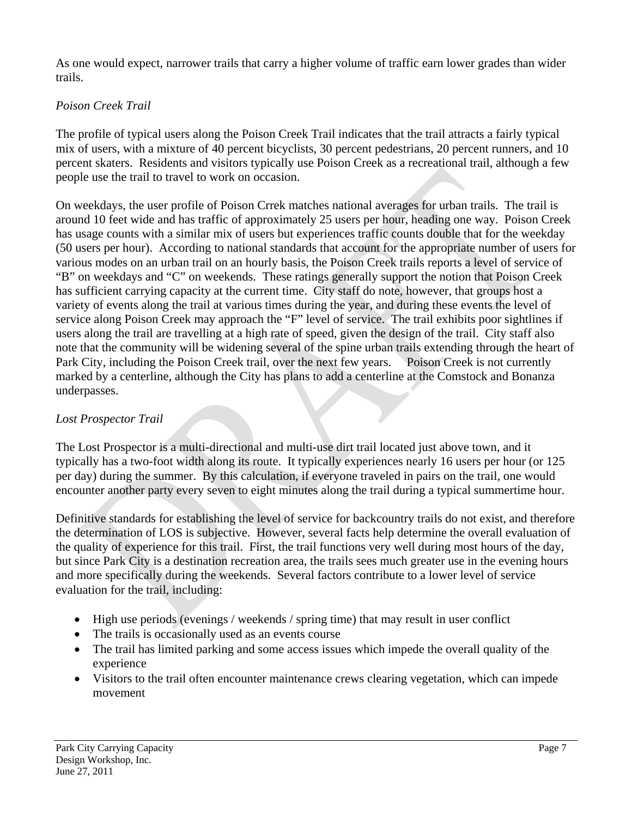As one would expect, narrower trails that carry a higher volume of traffic earn lower grades than wider trails.

### *Poison Creek Trail*

The profile of typical users along the Poison Creek Trail indicates that the trail attracts a fairly typical mix of users, with a mixture of 40 percent bicyclists, 30 percent pedestrians, 20 percent runners, and 10 percent skaters. Residents and visitors typically use Poison Creek as a recreational trail, although a few people use the trail to travel to work on occasion.

On weekdays, the user profile of Poison Crrek matches national averages for urban trails. The trail is around 10 feet wide and has traffic of approximately 25 users per hour, heading one way. Poison Creek has usage counts with a similar mix of users but experiences traffic counts double that for the weekday (50 users per hour). According to national standards that account for the appropriate number of users for various modes on an urban trail on an hourly basis, the Poison Creek trails reports a level of service of "B" on weekdays and "C" on weekends. These ratings generally support the notion that Poison Creek has sufficient carrying capacity at the current time. City staff do note, however, that groups host a variety of events along the trail at various times during the year, and during these events the level of service along Poison Creek may approach the "F" level of service. The trail exhibits poor sightlines if users along the trail are travelling at a high rate of speed, given the design of the trail. City staff also note that the community will be widening several of the spine urban trails extending through the heart of Park City, including the Poison Creek trail, over the next few years. Poison Creek is not currently marked by a centerline, although the City has plans to add a centerline at the Comstock and Bonanza underpasses.

### *Lost Prospector Trail*

The Lost Prospector is a multi-directional and multi-use dirt trail located just above town, and it typically has a two-foot width along its route. It typically experiences nearly 16 users per hour (or 125 per day) during the summer. By this calculation, if everyone traveled in pairs on the trail, one would encounter another party every seven to eight minutes along the trail during a typical summertime hour.

Definitive standards for establishing the level of service for backcountry trails do not exist, and therefore the determination of LOS is subjective. However, several facts help determine the overall evaluation of the quality of experience for this trail. First, the trail functions very well during most hours of the day, but since Park City is a destination recreation area, the trails sees much greater use in the evening hours and more specifically during the weekends. Several factors contribute to a lower level of service evaluation for the trail, including:

- $\bullet$  High use periods (evenings / weekends / spring time) that may result in user conflict
- The trails is occasionally used as an events course
- The trail has limited parking and some access issues which impede the overall quality of the experience
- Visitors to the trail often encounter maintenance crews clearing vegetation, which can impede movement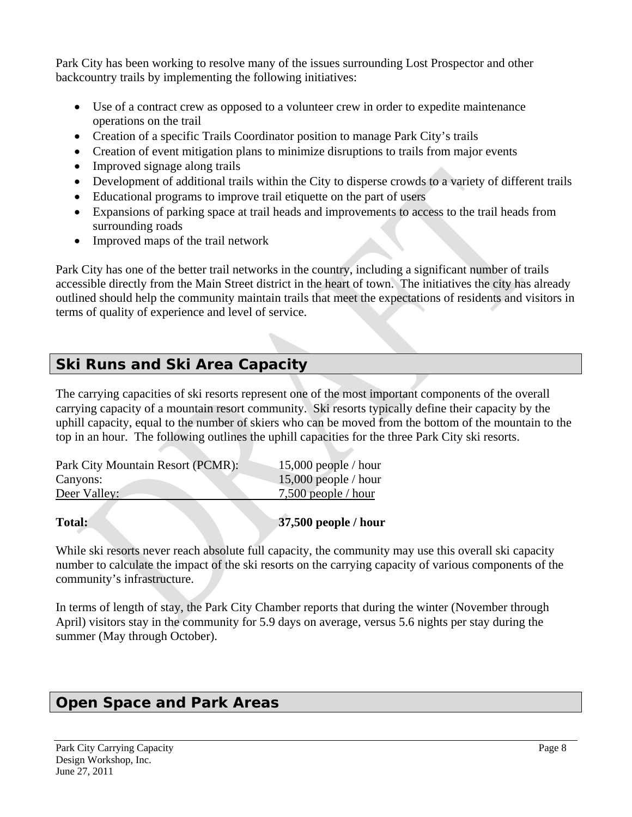Park City has been working to resolve many of the issues surrounding Lost Prospector and other backcountry trails by implementing the following initiatives:

- Use of a contract crew as opposed to a volunteer crew in order to expedite maintenance operations on the trail
- Creation of a specific Trails Coordinator position to manage Park City's trails
- Creation of event mitigation plans to minimize disruptions to trails from major events
- Improved signage along trails
- Development of additional trails within the City to disperse crowds to a variety of different trails
- Educational programs to improve trail etiquette on the part of users
- Expansions of parking space at trail heads and improvements to access to the trail heads from surrounding roads
- Improved maps of the trail network

Park City has one of the better trail networks in the country, including a significant number of trails accessible directly from the Main Street district in the heart of town. The initiatives the city has already outlined should help the community maintain trails that meet the expectations of residents and visitors in terms of quality of experience and level of service.

### <span id="page-7-0"></span>*Ski Runs and Ski Area Capacity*

The carrying capacities of ski resorts represent one of the most important components of the overall carrying capacity of a mountain resort community. Ski resorts typically define their capacity by the uphill capacity, equal to the number of skiers who can be moved from the bottom of the mountain to the top in an hour. The following outlines the uphill capacities for the three Park City ski resorts.

| Park City Mountain Resort (PCMR): | 15,000 people / hour  |
|-----------------------------------|-----------------------|
| Canyons:                          | 15,000 people / hour  |
| Deer Valley:                      | $7,500$ people / hour |

### **Total: 37,500 people / hour**

While ski resorts never reach absolute full capacity, the community may use this overall ski capacity number to calculate the impact of the ski resorts on the carrying capacity of various components of the community's infrastructure.

In terms of length of stay, the Park City Chamber reports that during the winter (November through April) visitors stay in the community for 5.9 days on average, versus 5.6 nights per stay during the summer (May through October).

### <span id="page-7-1"></span>*Open Space and Park Areas*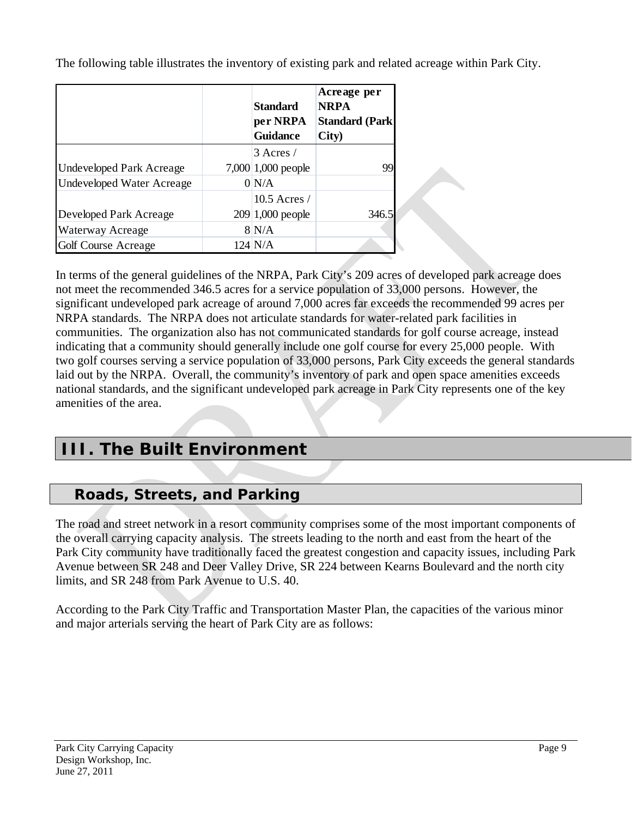The following table illustrates the inventory of existing park and related acreage within Park City.

|                           | <b>Standard</b><br>per NRPA<br><b>Guidance</b> | Acreage per<br><b>NRPA</b><br><b>Standard (Park)</b><br>City) |
|---------------------------|------------------------------------------------|---------------------------------------------------------------|
|                           | $3$ Acres /                                    |                                                               |
| Undeveloped Park Acreage  | 7,000 1,000 people                             | 99                                                            |
| Undeveloped Water Acreage | 0 N/A                                          |                                                               |
|                           | $10.5$ Acres /                                 |                                                               |
| Developed Park Acreage    | $209 1,000$ people                             | 346.5                                                         |
| Waterway Acreage          | 8 N/A                                          |                                                               |
| Golf Course Acreage       | $124 \text{ N/A}$                              |                                                               |

In terms of the general guidelines of the NRPA, Park City's 209 acres of developed park acreage does not meet the recommended 346.5 acres for a service population of 33,000 persons. However, the significant undeveloped park acreage of around 7,000 acres far exceeds the recommended 99 acres per NRPA standards. The NRPA does not articulate standards for water-related park facilities in communities. The organization also has not communicated standards for golf course acreage, instead indicating that a community should generally include one golf course for every 25,000 people. With two golf courses serving a service population of 33,000 persons, Park City exceeds the general standards laid out by the NRPA. Overall, the community's inventory of park and open space amenities exceeds national standards, and the significant undeveloped park acreage in Park City represents one of the key amenities of the area.

### <span id="page-8-0"></span>**III. The Built Environment**

### *Roads, Streets, and Parking*

<span id="page-8-1"></span>The road and street network in a resort community comprises some of the most important components of the overall carrying capacity analysis. The streets leading to the north and east from the heart of the Park City community have traditionally faced the greatest congestion and capacity issues, including Park Avenue between SR 248 and Deer Valley Drive, SR 224 between Kearns Boulevard and the north city limits, and SR 248 from Park Avenue to U.S. 40.

According to the Park City Traffic and Transportation Master Plan, the capacities of the various minor and major arterials serving the heart of Park City are as follows: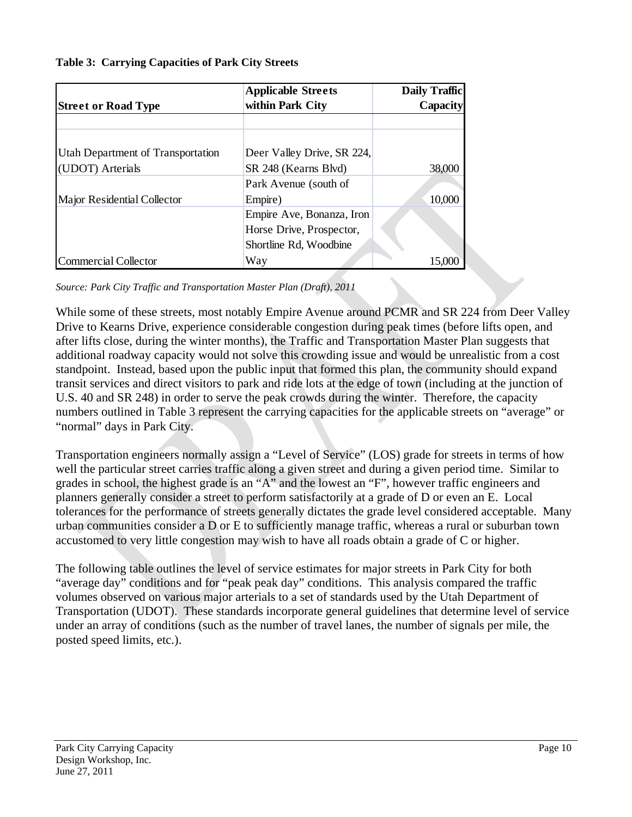#### <span id="page-9-0"></span>**Table 3: Carrying Capacities of Park City Streets**

|                                   | <b>Applicable Streets</b>  | <b>Daily Traffic</b> |
|-----------------------------------|----------------------------|----------------------|
| <b>Street or Road Type</b>        | within Park City           | <b>Capacity</b>      |
|                                   |                            |                      |
|                                   |                            |                      |
| Utah Department of Transportation | Deer Valley Drive, SR 224, |                      |
| (UDOT) Arterials                  | SR 248 (Kearns Blvd)       | 38,000               |
|                                   | Park Avenue (south of      |                      |
| Major Residential Collector       | Empire)                    | 10,000               |
|                                   | Empire Ave, Bonanza, Iron  |                      |
|                                   | Horse Drive, Prospector,   |                      |
|                                   | Shortline Rd, Woodbine     |                      |
| Commercial Collector              | Way                        |                      |

*Source: Park City Traffic and Transportation Master Plan (Draft), 2011* 

While some of these streets, most notably Empire Avenue around PCMR and SR 224 from Deer Valley Drive to Kearns Drive, experience considerable congestion during peak times (before lifts open, and after lifts close, during the winter months), the Traffic and Transportation Master Plan suggests that additional roadway capacity would not solve this crowding issue and would be unrealistic from a cost standpoint. Instead, based upon the public input that formed this plan, the community should expand transit services and direct visitors to park and ride lots at the edge of town (including at the junction of U.S. 40 and SR 248) in order to serve the peak crowds during the winter. Therefore, the capacity numbers outlined in [Table 3](#page-9-0) represent the carrying capacities for the applicable streets on "average" or "normal" days in Park City.

Transportation engineers normally assign a "Level of Service" (LOS) grade for streets in terms of how well the particular street carries traffic along a given street and during a given period time. Similar to grades in school, the highest grade is an "A" and the lowest an "F", however traffic engineers and planners generally consider a street to perform satisfactorily at a grade of D or even an E. Local tolerances for the performance of streets generally dictates the grade level considered acceptable. Many urban communities consider a D or E to sufficiently manage traffic, whereas a rural or suburban town accustomed to very little congestion may wish to have all roads obtain a grade of C or higher.

The following table outlines the level of service estimates for major streets in Park City for both "average day" conditions and for "peak peak day" conditions. This analysis compared the traffic volumes observed on various major arterials to a set of standards used by the Utah Department of Transportation (UDOT). These standards incorporate general guidelines that determine level of service under an array of conditions (such as the number of travel lanes, the number of signals per mile, the posted speed limits, etc.).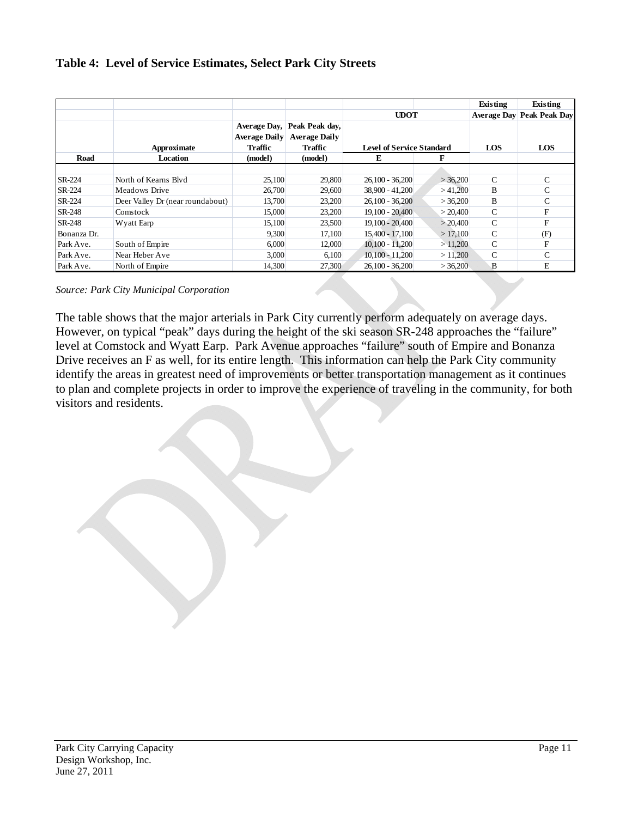#### **Table 4: Level of Service Estimates, Select Park City Streets**

|             |                                  |                      |                      |                                  |          | Existing     | Existing                         |
|-------------|----------------------------------|----------------------|----------------------|----------------------------------|----------|--------------|----------------------------------|
|             |                                  |                      |                      | <b>UDOT</b>                      |          |              | <b>Average Day Peak Peak Day</b> |
|             |                                  | Average Day,         | Peak Peak day,       |                                  |          |              |                                  |
|             |                                  | <b>Average Daily</b> | <b>Average Daily</b> |                                  |          |              |                                  |
|             | Approximate                      | <b>Traffic</b>       | <b>Traffic</b>       | <b>Level of Service Standard</b> |          | <b>LOS</b>   | LOS                              |
| Road        | Location                         | (model)              | (model)              | E                                | F        |              |                                  |
|             |                                  |                      |                      |                                  |          |              |                                  |
| SR-224      | North of Kearns Blvd             | 25,100               | 29,800               | $26,100 - 36,200$                | >36,200  | C            | $\mathsf{C}$                     |
| SR-224      | Meadows Drive                    | 26,700               | 29,600               | 38,900 - 41,200                  | >41,200  | B            | $\mathsf{C}$                     |
| SR-224      | Deer Valley Dr (near roundabout) | 13,700               | 23,200               | $26.100 - 36.200$                | > 36,200 | <sub>B</sub> | $\mathsf{C}$                     |
| SR-248      | Comstock                         | 15,000               | 23,200               | $19,100 - 20,400$                | > 20,400 | C            | F                                |
| SR-248      | Wyatt Earp                       | 15,100               | 23,500               | $19,100 - 20,400$                | > 20,400 | C            | F                                |
| Bonanza Dr. |                                  | 9,300                | 17,100               | $15,400 - 17,100$                | >17,100  | $\mathsf{C}$ | (F)                              |
| Park Ave.   | South of Empire                  | 6,000                | 12,000               | $10,100 - 11,200$                | >11,200  | C            | F                                |
| Park Ave.   | Near Heber Ave                   | 3,000                | 6,100                | $10,100 - 11,200$                | >11,200  | C            | $\mathsf{C}$                     |
| Park Ave.   | North of Empire                  | 14.300               | 27,300               | $26.100 - 36.200$                | >36,200  | B            | E                                |

*Source: Park City Municipal Corporation* 

The table shows that the major arterials in Park City currently perform adequately on average days. However, on typical "peak" days during the height of the ski season SR-248 approaches the "failure" level at Comstock and Wyatt Earp. Park Avenue approaches "failure" south of Empire and Bonanza Drive receives an F as well, for its entire length. This information can help the Park City community identify the areas in greatest need of improvements or better transportation management as it continues to plan and complete projects in order to improve the experience of traveling in the community, for both visitors and residents.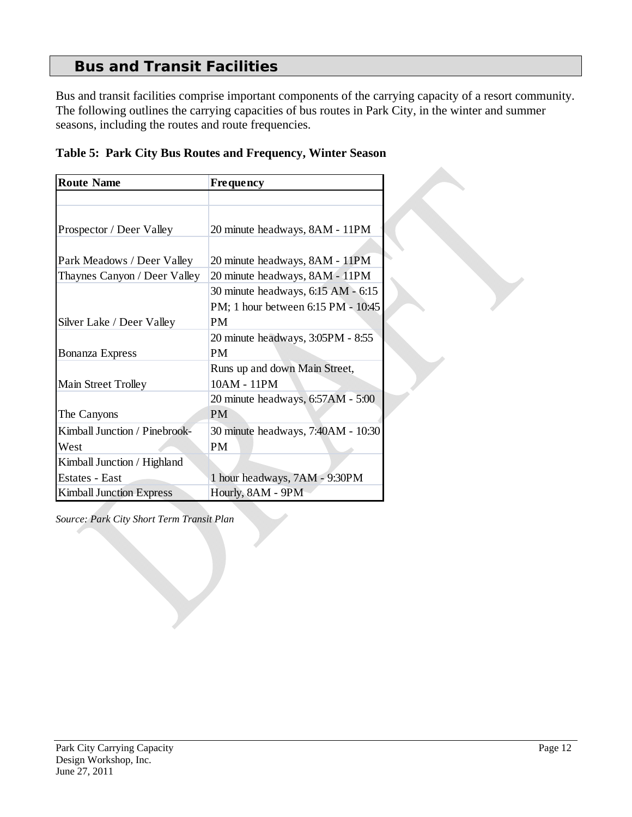### *Bus and Transit Facilities*

<span id="page-11-0"></span>Bus and transit facilities comprise important components of the carrying capacity of a resort community. The following outlines the carrying capacities of bus routes in Park City, in the winter and summer seasons, including the routes and route frequencies.

| <b>Route Name</b>               | <b>Frequency</b>                   |
|---------------------------------|------------------------------------|
|                                 |                                    |
|                                 |                                    |
| Prospector / Deer Valley        | 20 minute headways, 8AM - 11PM     |
|                                 |                                    |
| Park Meadows / Deer Valley      | 20 minute headways, 8AM - 11PM     |
| Thaynes Canyon / Deer Valley    | 20 minute headways, 8AM - 11PM     |
|                                 | 30 minute headways, 6:15 AM - 6:15 |
|                                 | PM; 1 hour between 6:15 PM - 10:45 |
| Silver Lake / Deer Valley       | <b>PM</b>                          |
|                                 | 20 minute headways, 3:05PM - 8:55  |
| <b>Bonanza Express</b>          | <b>PM</b>                          |
|                                 | Runs up and down Main Street,      |
| Main Street Trolley             | 10AM - 11PM                        |
|                                 | 20 minute headways, 6:57AM - 5:00  |
| The Canyons                     | <b>PM</b>                          |
| Kimball Junction / Pinebrook-   | 30 minute headways, 7:40AM - 10:30 |
| West                            | <b>PM</b>                          |
| Kimball Junction / Highland     |                                    |
| Estates - East                  | 1 hour headways, 7AM - 9:30PM      |
| <b>Kimball Junction Express</b> | Hourly, 8AM - 9PM                  |

**Table 5: Park City Bus Routes and Frequency, Winter Season** 

*Source: Park City Short Term Transit Plan*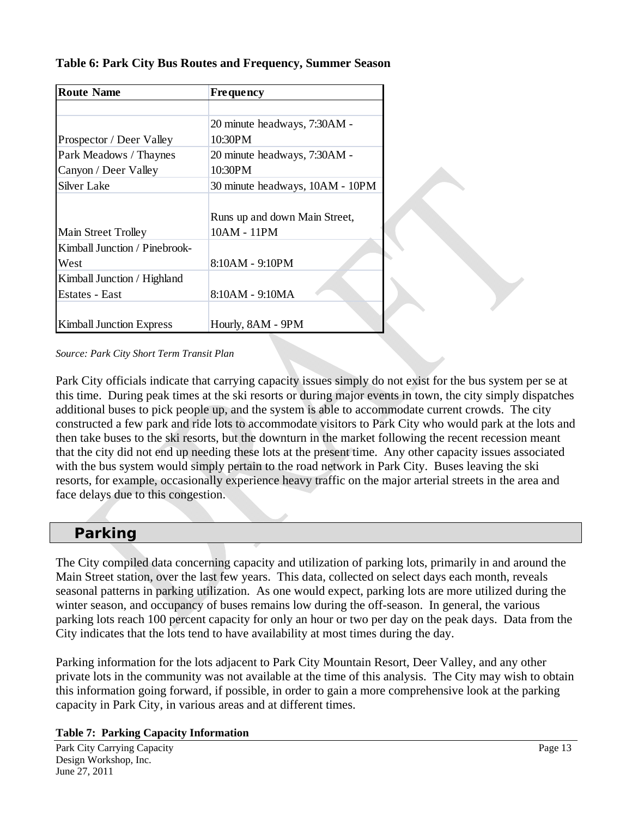| <b>Route Name</b>               | <b>Frequency</b>                |
|---------------------------------|---------------------------------|
|                                 |                                 |
|                                 | 20 minute headways, 7:30AM -    |
| Prospector / Deer Valley        | 10:30PM                         |
| Park Meadows / Thaynes          | 20 minute headways, 7:30AM -    |
| Canyon / Deer Valley            | 10:30PM                         |
| <b>Silver Lake</b>              | 30 minute headways, 10AM - 10PM |
|                                 |                                 |
|                                 | Runs up and down Main Street,   |
| Main Street Trolley             | 10AM - 11PM                     |
| Kimball Junction / Pinebrook-   |                                 |
| West                            | 8:10AM - 9:10PM                 |
| Kimball Junction / Highland     |                                 |
| Estates - East                  | 8:10AM - 9:10MA                 |
|                                 |                                 |
| <b>Kimball Junction Express</b> | Hourly, 8AM - 9PM               |

#### **Table 6: Park City Bus Routes and Frequency, Summer Season**

*Source: Park City Short Term Transit Plan* 

Park City officials indicate that carrying capacity issues simply do not exist for the bus system per se at this time. During peak times at the ski resorts or during major events in town, the city simply dispatches additional buses to pick people up, and the system is able to accommodate current crowds. The city constructed a few park and ride lots to accommodate visitors to Park City who would park at the lots and then take buses to the ski resorts, but the downturn in the market following the recent recession meant that the city did not end up needing these lots at the present time. Any other capacity issues associated with the bus system would simply pertain to the road network in Park City. Buses leaving the ski resorts, for example, occasionally experience heavy traffic on the major arterial streets in the area and face delays due to this congestion.

### *Parking*

<span id="page-12-0"></span>The City compiled data concerning capacity and utilization of parking lots, primarily in and around the Main Street station, over the last few years. This data, collected on select days each month, reveals seasonal patterns in parking utilization. As one would expect, parking lots are more utilized during the winter season, and occupancy of buses remains low during the off-season. In general, the various parking lots reach 100 percent capacity for only an hour or two per day on the peak days. Data from the City indicates that the lots tend to have availability at most times during the day.

Parking information for the lots adjacent to Park City Mountain Resort, Deer Valley, and any other private lots in the community was not available at the time of this analysis. The City may wish to obtain this information going forward, if possible, in order to gain a more comprehensive look at the parking capacity in Park City, in various areas and at different times.

#### **Table 7: Parking Capacity Information**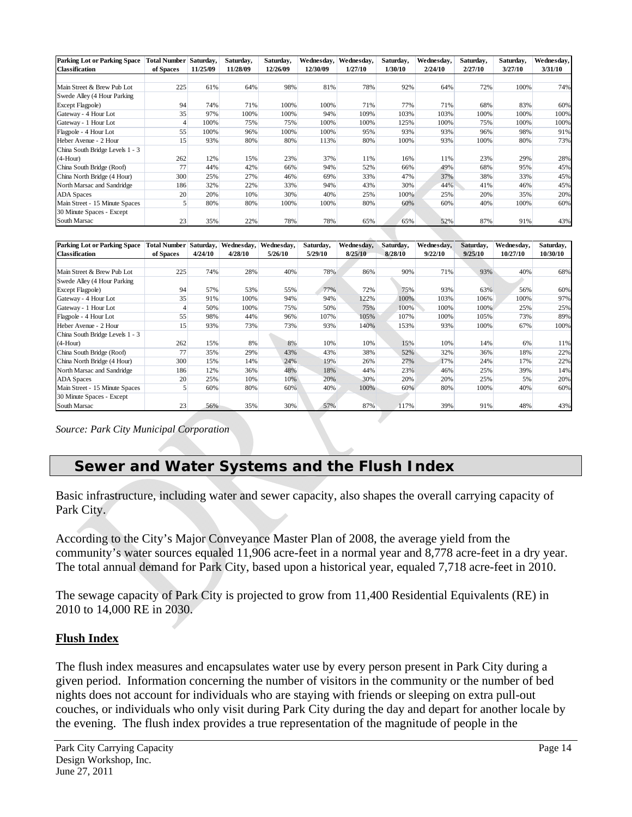| <b>Parking Lot or Parking Space</b> | <b>Total Number</b> | Saturday, | Saturday, | Saturday, | Wednesdav, | Wednesday, | Saturday, | Wednesday, | Saturday, | Saturday, | Wednesday, |
|-------------------------------------|---------------------|-----------|-----------|-----------|------------|------------|-----------|------------|-----------|-----------|------------|
| <b>Classification</b>               | of Spaces           | 11/25/09  | 11/28/09  | 12/26/09  | 12/30/09   | 1/27/10    | 1/30/10   | 2/24/10    | 2/27/10   | 3/27/10   | 3/31/10    |
|                                     |                     |           |           |           |            |            |           |            |           |           |            |
| Main Street & Brew Pub Lot          | 225                 | 61%       | 64%       | 98%       | 81%        | 78%        | 92%       | 64%        | 72%       | 100%      | 74%        |
| Swede Alley (4 Hour Parking         |                     |           |           |           |            |            |           |            |           |           |            |
| Except Flagpole)                    | 94                  | 74%       | 71%       | 100%      | 100%       | 71%        | 77%       | 71%        | 68%       | 83%       | 60%        |
| Gateway - 4 Hour Lot                | 35                  | 97%       | 100%      | 100%      | 94%        | 109%       | 103%      | 103%       | 100%      | 100%      | 100%       |
| Gateway - 1 Hour Lot                | 4                   | 100%      | 75%       | 75%       | 100%       | 100%       | 125%      | 100%       | 75%       | 100%      | 100%       |
| Flagpole - 4 Hour Lot               | 55                  | 100%      | 96%       | 100%      | 100%       | 95%        | 93%       | 93%        | 96%       | 98%       | 91%        |
| Heber Avenue - 2 Hour               | 15                  | 93%       | 80%       | 80%       | 113%       | 80%        | 100%      | 93%        | 100%      | 80%       | 73%        |
| China South Bridge Levels 1 - 3     |                     |           |           |           |            |            |           |            |           |           |            |
| $(4-Hour)$                          | 262                 | 12%       | 15%       | 23%       | 37%        | 11%        | 16%       | 11%        | 23%       | 29%       | 28%        |
| China South Bridge (Roof)           | 77                  | 44%       | 42%       | 66%       | 94%        | 52%        | 66%       | 49%        | 68%       | 95%       | 45%        |
| China North Bridge (4 Hour)         | 300                 | 25%       | 27%       | 46%       | 69%        | 33%        | 47%       | 37%        | 38%       | 33%       | 45%        |
| North Marsac and Sandridge          | 186                 | 32%       | 22%       | 33%       | 94%        | 43%        | 30%       | 44%        | 41%       | 46%       | 45%        |
| <b>ADA Spaces</b>                   | 20                  | 20%       | 10%       | 30%       | 40%        | 25%        | 100%      | 25%        | 20%       | 35%       | 20%        |
| Main Street - 15 Minute Spaces      |                     | 80%       | 80%       | 100%      | 100%       | 80%        | 60%       | 60%        | 40%       | 100%      | 60%        |
| 30 Minute Spaces - Except           |                     |           |           |           |            |            |           |            |           |           |            |
| South Marsac                        | 23                  | 35%       | 22%       | 78%       | 78%        | 65%        | 65%       | 52%        | 87%       | 91%       | 43%        |

| <b>Parking Lot or Parking Space</b> | <b>Total Number</b> | Saturday, | Wednesday, | Wednesday, | Saturday, | Wednesday, | Saturday, | Wednesday, | Saturday, | Wednesday, | Saturday, |
|-------------------------------------|---------------------|-----------|------------|------------|-----------|------------|-----------|------------|-----------|------------|-----------|
| <b>Classification</b>               | of Spaces           | 4/24/10   | 4/28/10    | 5/26/10    | 5/29/10   | 8/25/10    | 8/28/10   | 9/22/10    | 9/25/10   | 10/27/10   | 10/30/10  |
|                                     |                     |           |            |            |           |            |           |            |           |            |           |
| Main Street & Brew Pub Lot          | 225                 | 74%       | 28%        | 40%        | 78%       | 86%        | 90%       | 71%        | 93%       | 40%        | 68%       |
| Swede Alley (4 Hour Parking         |                     |           |            |            |           |            |           |            |           |            |           |
| Except Flagpole)                    | 94                  | 57%       | 53%        | 55%        | 77%       | 72%        | 75%       | 93%        | 63%       | 56%        | 60%       |
| Gateway - 4 Hour Lot                | 35                  | 91%       | 100%       | 94%        | 94%       | 122%       | 100%      | 103%       | 106%      | 100%       | 97%       |
| Gateway - 1 Hour Lot                |                     | 50%       | 100%       | 75%        | 50%       | 75%        | 100%      | 100%       | 100%      | 25%        | 25%       |
| Flagpole - 4 Hour Lot               | 55                  | 98%       | 44%        | 96%        | 107%      | 105%       | 107%      | 100%       | 105%      | 73%        | 89%       |
| Heber Avenue - 2 Hour               | 15                  | 93%       | 73%        | 73%        | 93%       | 140%       | 153%      | 93%        | 100%      | 67%        | 100%      |
| China South Bridge Levels 1 - 3     |                     |           |            |            |           |            |           |            |           |            |           |
| $(4-Hour)$                          | 262                 | 15%       | 8%         | 8%         | 10%       | 10%        | 15%       | 10%        | 14%       | 6%         | 11%       |
| China South Bridge (Roof)           | 77                  | 35%       | 29%        | 43%        | 43%       | 38%        | 52%       | 32%        | 36%       | 18%        | 22%       |
| China North Bridge (4 Hour)         | 300                 | 15%       | 14%        | 24%        | 19%       | 26%        | 27%       | 17%        | 24%       | 17%        | 22%       |
| North Marsac and Sandridge          | 186                 | 12%       | 36%        | 48%        | 18%       | 44%        | 23%       | 46%        | 25%       | 39%        | 14%       |
| <b>ADA</b> Spaces                   | 20                  | 25%       | 10%        | 10%        | 20%       | 30%        | 20%       | 20%        | 25%       | 5%         | 20%       |
| Main Street - 15 Minute Spaces      | $\mathfrak{S}$      | 60%       | 80%        | 60%        | 40%       | 100%       | 60%       | 80%        | 100%      | 40%        | 60%       |
| 30 Minute Spaces - Except           |                     |           |            |            |           |            |           |            |           |            |           |
| South Marsac                        | 23                  | 56%       | 35%        | 30%        | 57%       | 87%        | 117%      | 39%        | 91%       | 48%        | 43%       |

<span id="page-13-0"></span>*Source: Park City Municipal Corporation* 

### *Sewer and Water Systems and the Flush Index*

Basic infrastructure, including water and sewer capacity, also shapes the overall carrying capacity of Park City.

According to the City's Major Conveyance Master Plan of 2008, the average yield from the community's water sources equaled 11,906 acre-feet in a normal year and 8,778 acre-feet in a dry year. The total annual demand for Park City, based upon a historical year, equaled 7,718 acre-feet in 2010.

The sewage capacity of Park City is projected to grow from 11,400 Residential Equivalents (RE) in 2010 to 14,000 RE in 2030.

#### **Flush Index**

The flush index measures and encapsulates water use by every person present in Park City during a given period. Information concerning the number of visitors in the community or the number of bed nights does not account for individuals who are staying with friends or sleeping on extra pull-out couches, or individuals who only visit during Park City during the day and depart for another locale by the evening. The flush index provides a true representation of the magnitude of people in the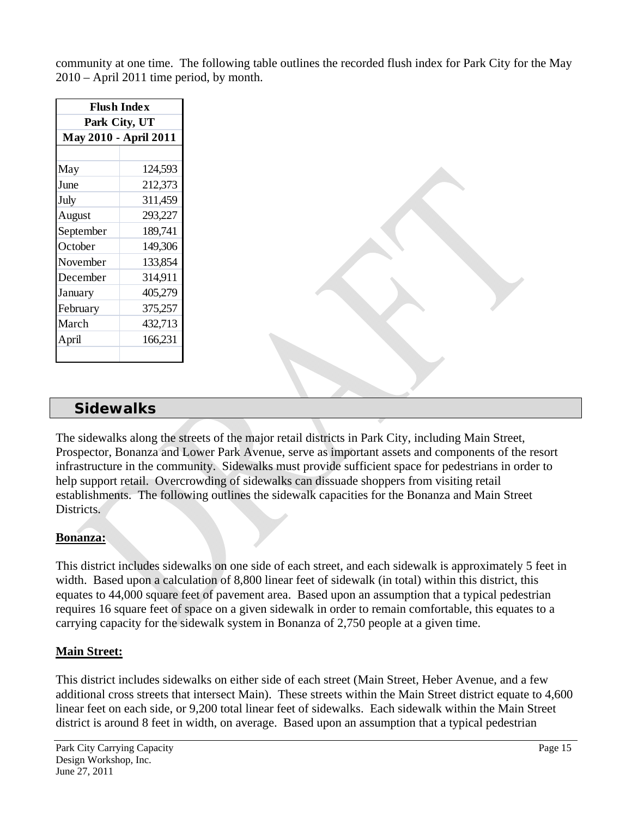community at one time. The following table outlines the recorded flush index for Park City for the May 2010 – April 2011 time period, by month.

| <b>Flush Index</b> |                       |  |  |  |  |
|--------------------|-----------------------|--|--|--|--|
| Park City, UT      |                       |  |  |  |  |
|                    | May 2010 - April 2011 |  |  |  |  |
|                    |                       |  |  |  |  |
| May                | 124,593               |  |  |  |  |
| June               | 212,373               |  |  |  |  |
| July               | 311,459               |  |  |  |  |
| August             | 293,227               |  |  |  |  |
| September          | 189,741               |  |  |  |  |
| October            | 149,306               |  |  |  |  |
| November           | 133,854               |  |  |  |  |
| December           | 314,911               |  |  |  |  |
| January            | 405,279               |  |  |  |  |
| February           | 375,257               |  |  |  |  |
| March              | 432,713               |  |  |  |  |
| April              | 166,231               |  |  |  |  |
|                    |                       |  |  |  |  |

### *Sidewalks*

<span id="page-14-0"></span>The sidewalks along the streets of the major retail districts in Park City, including Main Street, Prospector, Bonanza and Lower Park Avenue, serve as important assets and components of the resort infrastructure in the community. Sidewalks must provide sufficient space for pedestrians in order to help support retail. Overcrowding of sidewalks can dissuade shoppers from visiting retail establishments. The following outlines the sidewalk capacities for the Bonanza and Main Street Districts.

#### **Bonanza:**

This district includes sidewalks on one side of each street, and each sidewalk is approximately 5 feet in width. Based upon a calculation of 8,800 linear feet of sidewalk (in total) within this district, this equates to 44,000 square feet of pavement area. Based upon an assumption that a typical pedestrian requires 16 square feet of space on a given sidewalk in order to remain comfortable, this equates to a carrying capacity for the sidewalk system in Bonanza of 2,750 people at a given time.

#### **Main Street:**

This district includes sidewalks on either side of each street (Main Street, Heber Avenue, and a few additional cross streets that intersect Main). These streets within the Main Street district equate to 4,600 linear feet on each side, or 9,200 total linear feet of sidewalks. Each sidewalk within the Main Street district is around 8 feet in width, on average. Based upon an assumption that a typical pedestrian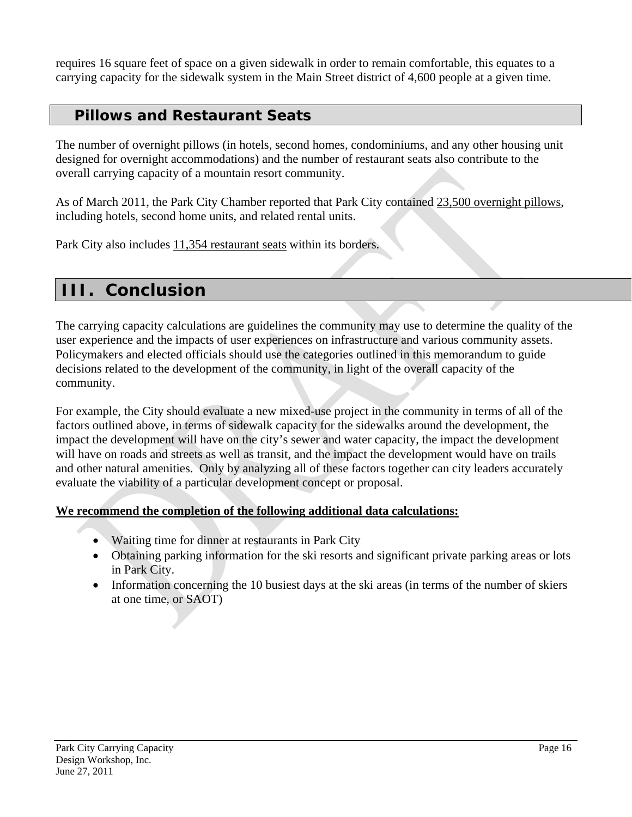requires 16 square feet of space on a given sidewalk in order to remain comfortable, this equates to a carrying capacity for the sidewalk system in the Main Street district of 4,600 people at a given time.

### *Pillows and Restaurant Seats*

<span id="page-15-0"></span>The number of overnight pillows (in hotels, second homes, condominiums, and any other housing unit designed for overnight accommodations) and the number of restaurant seats also contribute to the overall carrying capacity of a mountain resort community.

As of March 2011, the Park City Chamber reported that Park City contained 23,500 overnight pillows, including hotels, second home units, and related rental units.

Park City also includes 11,354 restaurant seats within its borders.

### <span id="page-15-1"></span>**III. Conclusion**

The carrying capacity calculations are guidelines the community may use to determine the quality of the user experience and the impacts of user experiences on infrastructure and various community assets. Policymakers and elected officials should use the categories outlined in this memorandum to guide decisions related to the development of the community, in light of the overall capacity of the community.

For example, the City should evaluate a new mixed-use project in the community in terms of all of the factors outlined above, in terms of sidewalk capacity for the sidewalks around the development, the impact the development will have on the city's sewer and water capacity, the impact the development will have on roads and streets as well as transit, and the impact the development would have on trails and other natural amenities. Only by analyzing all of these factors together can city leaders accurately evaluate the viability of a particular development concept or proposal.

#### **We recommend the completion of the following additional data calculations:**

- Waiting time for dinner at restaurants in Park City
- Obtaining parking information for the ski resorts and significant private parking areas or lots in Park City.
- Information concerning the 10 busiest days at the ski areas (in terms of the number of skiers at one time, or SAOT)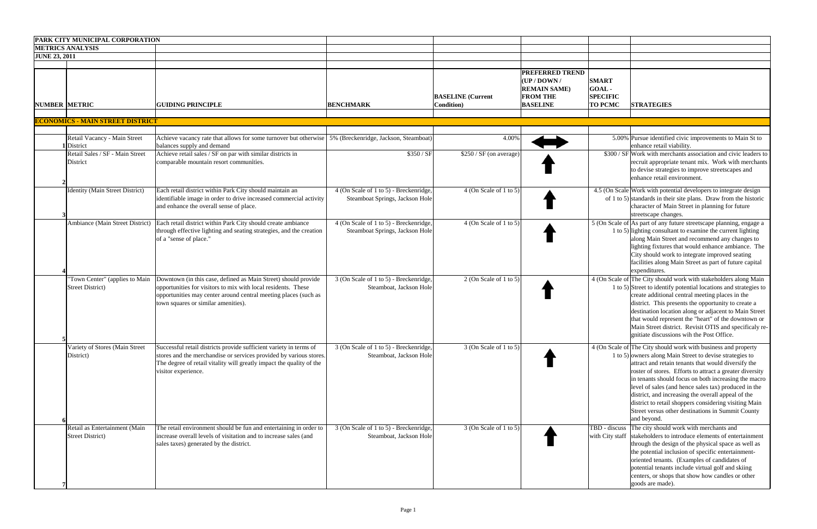|                      | PARK CITY MUNICIPAL CORPORATION                           |                                                                                                                                                                                                                                           |                                                                           |                                        |                                                                                           |                                                                                                                                                                                                                                                                                                                                                                                                                                                                                                                                                  |
|----------------------|-----------------------------------------------------------|-------------------------------------------------------------------------------------------------------------------------------------------------------------------------------------------------------------------------------------------|---------------------------------------------------------------------------|----------------------------------------|-------------------------------------------------------------------------------------------|--------------------------------------------------------------------------------------------------------------------------------------------------------------------------------------------------------------------------------------------------------------------------------------------------------------------------------------------------------------------------------------------------------------------------------------------------------------------------------------------------------------------------------------------------|
|                      | <b>METRICS ANALYSIS</b>                                   |                                                                                                                                                                                                                                           |                                                                           |                                        |                                                                                           |                                                                                                                                                                                                                                                                                                                                                                                                                                                                                                                                                  |
| <b>JUNE 23, 2011</b> |                                                           |                                                                                                                                                                                                                                           |                                                                           |                                        |                                                                                           |                                                                                                                                                                                                                                                                                                                                                                                                                                                                                                                                                  |
|                      |                                                           |                                                                                                                                                                                                                                           |                                                                           |                                        |                                                                                           |                                                                                                                                                                                                                                                                                                                                                                                                                                                                                                                                                  |
| <b>NUMBER METRIC</b> |                                                           | <b>GUIDING PRINCIPLE</b>                                                                                                                                                                                                                  | <b>BENCHMARK</b>                                                          | <b>BASELINE</b> (Current<br>Condition) | PREFERRED TREND<br>(UP/DOWN/<br><b>REMAIN SAME)</b><br><b>FROM THE</b><br><b>BASELINE</b> | <b>SMART</b><br>GOAL-<br><b>SPECIFIC</b><br><b>TO PCMC</b><br><b>STRATEGIES</b>                                                                                                                                                                                                                                                                                                                                                                                                                                                                  |
|                      | <b>ECONOMICS - MAIN STREET DISTRICT</b>                   |                                                                                                                                                                                                                                           |                                                                           |                                        |                                                                                           |                                                                                                                                                                                                                                                                                                                                                                                                                                                                                                                                                  |
|                      | Retail Vacancy - Main Street<br>District                  | Achieve vacancy rate that allows for some turnover but otherwise 5% (Breckenridge, Jackson, Steamboat)<br>balances supply and demand                                                                                                      |                                                                           | 4.00%                                  |                                                                                           | 5.00% Pursue identified civic improvements to Main St to<br>enhance retail viability.                                                                                                                                                                                                                                                                                                                                                                                                                                                            |
|                      | Retail Sales / SF - Main Street<br>District               | Achieve retail sales / SF on par with similar districts in<br>comparable mountain resort communities.                                                                                                                                     | \$350 / SF                                                                | $\overline{$250 / SF}$ (on average)    |                                                                                           | $$300 / SF$ Work with merchants association and civic leaders to<br>recruit appropriate tenant mix. Work with merchants<br>to devise strategies to improve streetscapes and<br>enhance retail environment.                                                                                                                                                                                                                                                                                                                                       |
|                      | <b>Identity (Main Street District)</b>                    | Each retail district within Park City should maintain an<br>identifiable image in order to drive increased commercial activity<br>and enhance the overall sense of place.                                                                 | 4 (On Scale of 1 to 5) - Breckenridge,<br>Steamboat Springs, Jackson Hole | $4$ (On Scale of 1 to 5)               |                                                                                           | 4.5 (On Scale Work with potential developers to integrate design<br>of 1 to 5) standards in their site plans. Draw from the historic<br>character of Main Street in planning for future<br>streetscape changes.                                                                                                                                                                                                                                                                                                                                  |
|                      | Ambiance (Main Street District)                           | Each retail district within Park City should create ambiance<br>through effective lighting and seating strategies, and the creation<br>of a "sense of place."                                                                             | 4 (On Scale of 1 to 5) - Breckenridge,<br>Steamboat Springs, Jackson Hole | 4 (On Scale of 1 to 5)                 |                                                                                           | 5 (On Scale of As part of any future streetscape planning, engage a<br>1 to 5) lighting consultant to examine the current lighting<br>along Main Street and recommend any changes to<br>lighting fixtures that would enhance ambiance. The<br>City should work to integrate improved seating<br>facilities along Main Street as part of future capital<br>expenditures.                                                                                                                                                                          |
|                      | "Town Center" (applies to Main<br><b>Street District)</b> | Downtown (in this case, defined as Main Street) should provide<br>opportunities for visitors to mix with local residents. These<br>opportunities may center around central meeting places (such as<br>town squares or similar amenities). | 3 (On Scale of 1 to 5) - Breckenridge,<br>Steamboat, Jackson Hole         | $2$ (On Scale of 1 to 5)               |                                                                                           | 4 (On Scale of The City should work with stakeholders along Main<br>1 to 5) Street to identify potential locations and strategies to<br>create additional central meeting places in the<br>district. This presents the opportunity to create a<br>destination location along or adjacent to Main Street<br>that would represent the "heart" of the downtown or<br>Main Street district. Revisit OTIS and specificaly re-<br>gnitiate discussions wih the Post Office.                                                                            |
|                      | Variety of Stores (Main Street<br>District)               | Successful retail districts provide sufficient variety in terms of<br>stores and the merchandise or services provided by various stores.<br>The degree of retail vitality will greatly impact the quality of the<br>visitor experience.   | 3 (On Scale of 1 to 5) - Breckenridge,<br>Steamboat, Jackson Hole         | $3$ (On Scale of 1 to 5)               |                                                                                           | 4 (On Scale of The City should work with business and property<br>1 to 5) owners along Main Street to devise strategies to<br>attract and retain tenants that would diversify the<br>roster of stores. Efforts to attract a greater diversity<br>in tenants should focus on both increasing the macro<br>level of sales (and hence sales tax) produced in the<br>district, and increasing the overall appeal of the<br>district to retail shoppers considering visiting Main<br>Street versus other destinations in Summit County<br>and beyond. |
|                      | Retail as Entertainment (Main<br><b>Street District)</b>  | The retail environment should be fun and entertaining in order to<br>increase overall levels of visitation and to increase sales (and<br>sales taxes) generated by the district.                                                          | 3 (On Scale of 1 to 5) - Breckenridge,<br>Steamboat, Jackson Hole         | $3$ (On Scale of 1 to 5)               |                                                                                           | The city should work with merchants and<br>TBD - discuss<br>stakeholders to introduce elements of entertainment<br>with City staff<br>through the design of the physical space as well as<br>the potential inclusion of specific entertainment-<br>oriented tenants. (Examples of candidates of<br>potential tenants include virtual golf and skiing<br>centers, or shops that show how candles or other<br>goods are made).                                                                                                                     |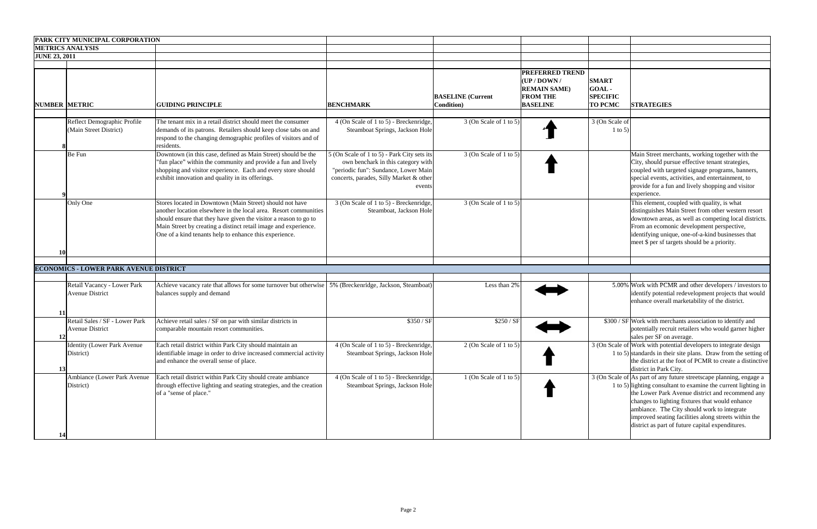|                      | PARK CITY MUNICIPAL CORPORATION                          |                                                                                                                                                                                                                                                                                                                               |                                                                                                                                                                                |                                                |                                                                                                     |                                                            |                                                                                                                                                                                                                                                                                                                                                                                                         |
|----------------------|----------------------------------------------------------|-------------------------------------------------------------------------------------------------------------------------------------------------------------------------------------------------------------------------------------------------------------------------------------------------------------------------------|--------------------------------------------------------------------------------------------------------------------------------------------------------------------------------|------------------------------------------------|-----------------------------------------------------------------------------------------------------|------------------------------------------------------------|---------------------------------------------------------------------------------------------------------------------------------------------------------------------------------------------------------------------------------------------------------------------------------------------------------------------------------------------------------------------------------------------------------|
|                      | <b>METRICS ANALYSIS</b>                                  |                                                                                                                                                                                                                                                                                                                               |                                                                                                                                                                                |                                                |                                                                                                     |                                                            |                                                                                                                                                                                                                                                                                                                                                                                                         |
| <b>JUNE 23, 2011</b> |                                                          |                                                                                                                                                                                                                                                                                                                               |                                                                                                                                                                                |                                                |                                                                                                     |                                                            |                                                                                                                                                                                                                                                                                                                                                                                                         |
| <b>NUMBER METRIC</b> |                                                          | <b>GUIDING PRINCIPLE</b>                                                                                                                                                                                                                                                                                                      | <b>BENCHMARK</b>                                                                                                                                                               | <b>BASELINE</b> (Current<br><b>Condition</b> ) | <b>PREFERRED TREND</b><br>$UP/$ DOWN /<br><b>REMAIN SAME)</b><br><b>FROM THE</b><br><b>BASELINE</b> | <b>SMART</b><br>GOAL-<br><b>SPECIFIC</b><br><b>TO PCMC</b> | <b>STRATEGIES</b>                                                                                                                                                                                                                                                                                                                                                                                       |
|                      | Reflect Demographic Profile<br>(Main Street District)    | The tenant mix in a retail district should meet the consumer<br>demands of its patrons. Retailers should keep close tabs on and<br>respond to the changing demographic profiles of visitors and of<br>residents.                                                                                                              | 4 (On Scale of 1 to 5) - Breckenridge,<br>Steamboat Springs, Jackson Hole                                                                                                      | $3$ (On Scale of 1 to 5)                       |                                                                                                     | 3 (On Scale of<br>$1$ to 5)                                |                                                                                                                                                                                                                                                                                                                                                                                                         |
|                      | Be Fun                                                   | Downtown (in this case, defined as Main Street) should be the<br>"fun place" within the community and provide a fun and lively<br>shopping and visitor experience. Each and every store should<br>exhibit innovation and quality in its offerings.                                                                            | 5 (On Scale of 1 to 5) - Park City sets its<br>own benchark in this category with<br>"periodic fun": Sundance, Lower Main<br>concerts, parades, Silly Market & other<br>events | $3$ (On Scale of 1 to 5)                       |                                                                                                     |                                                            | Main Street merchants, working together with the<br>City, should pursue effective tenant strategies,<br>coupled with targeted signage programs, banners,<br>special events, activities, and entertainment, to<br>provide for a fun and lively shopping and visitor<br>experience.                                                                                                                       |
| <b>10</b>            | Only One                                                 | Stores located in Downtown (Main Street) should not have<br>another location elsewhere in the local area. Resort communities<br>should ensure that they have given the visitor a reason to go to<br>Main Street by creating a distinct retail image and experience.<br>One of a kind tenants help to enhance this experience. | 3 (On Scale of 1 to 5) - Breckenridge,<br>Steamboat, Jackson Hole                                                                                                              | $3$ (On Scale of 1 to 5)                       |                                                                                                     |                                                            | This element, coupled with quality, is what<br>distinguishes Main Street from other western resort<br>downtown areas, as well as competing local districts.<br>From an ecomonic development perspective,<br>identifying unique, one-of-a-kind businesses that<br>meet \$ per sf targets should be a priority.                                                                                           |
|                      | <b>ECONOMICS - LOWER PARK AVENUE DISTRICT</b>            |                                                                                                                                                                                                                                                                                                                               |                                                                                                                                                                                |                                                |                                                                                                     |                                                            |                                                                                                                                                                                                                                                                                                                                                                                                         |
| -11                  | Retail Vacancy - Lower Park<br><b>Avenue District</b>    | Achieve vacancy rate that allows for some turnover but otherwise 5% (Breckenridge, Jackson, Steamboat)<br>balances supply and demand                                                                                                                                                                                          |                                                                                                                                                                                | Less than 2%                                   |                                                                                                     |                                                            | 5.00% Work with PCMR and other developers / investors to<br>identify potential redevelopment projects that would<br>enhance overall marketability of the district.                                                                                                                                                                                                                                      |
| 12                   | Retail Sales / SF - Lower Park<br><b>Avenue District</b> | Achieve retail sales / SF on par with similar districts in<br>comparable mountain resort communities.                                                                                                                                                                                                                         | \$350 / SF                                                                                                                                                                     | \$250 / SF                                     |                                                                                                     |                                                            | \$300 / SF Work with merchants association to identify and<br>potentially recruit retailers who would garner higher<br>sales per SF on average.                                                                                                                                                                                                                                                         |
| 13                   | <b>Identity (Lower Park Avenue)</b><br>District)         | Each retail district within Park City should maintain an<br>identifiable image in order to drive increased commercial activity<br>and enhance the overall sense of place.                                                                                                                                                     | 4 (On Scale of 1 to 5) - Breckenridge,<br>Steamboat Springs, Jackson Hole                                                                                                      | 2 (On Scale of 1 to 5)                         |                                                                                                     |                                                            | 3 (On Scale of Work with potential developers to integrate design<br>1 to 5) standards in their site plans. Draw from the setting of<br>the district at the foot of PCMR to create a distinctive<br>district in Park City.                                                                                                                                                                              |
| 14                   | Ambiance (Lower Park Avenue<br>District)                 | Each retail district within Park City should create ambiance<br>through effective lighting and seating strategies, and the creation<br>of a "sense of place."                                                                                                                                                                 | 4 (On Scale of 1 to 5) - Breckenridge,<br>Steamboat Springs, Jackson Hole                                                                                                      | 1 (On Scale of 1 to 5)                         |                                                                                                     |                                                            | 3 (On Scale of As part of any future streetscape planning, engage a<br>1 to 5) lighting consultant to examine the current lighting in<br>the Lower Park Avenue district and recommend any<br>changes to lighting fixtures that would enhance<br>ambiance. The City should work to integrate<br>improved seating facilities along streets within the<br>district as part of future capital expenditures. |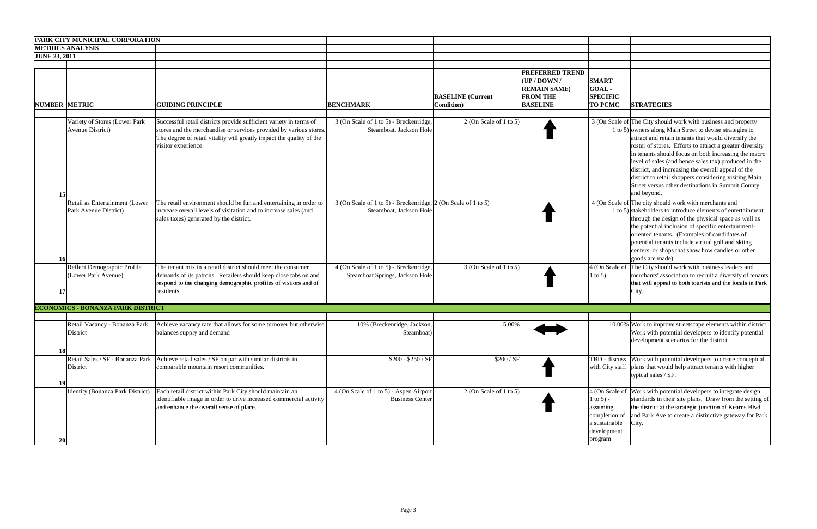|                      | <b>PARK CITY MUNICIPAL CORPORATION</b>                                                                       |                                                                                                                                                                                                                                                                                                                                                                                                                             |                                                                                                                                                                 |                                                |                                                                                                     |                                                                                   |                                                                                                                                                                                                                                                                                                                                                                                                                                                                                                                                                                                                                                                                                                                                                                                                                                                                                                                                                                     |
|----------------------|--------------------------------------------------------------------------------------------------------------|-----------------------------------------------------------------------------------------------------------------------------------------------------------------------------------------------------------------------------------------------------------------------------------------------------------------------------------------------------------------------------------------------------------------------------|-----------------------------------------------------------------------------------------------------------------------------------------------------------------|------------------------------------------------|-----------------------------------------------------------------------------------------------------|-----------------------------------------------------------------------------------|---------------------------------------------------------------------------------------------------------------------------------------------------------------------------------------------------------------------------------------------------------------------------------------------------------------------------------------------------------------------------------------------------------------------------------------------------------------------------------------------------------------------------------------------------------------------------------------------------------------------------------------------------------------------------------------------------------------------------------------------------------------------------------------------------------------------------------------------------------------------------------------------------------------------------------------------------------------------|
|                      | <b>METRICS ANALYSIS</b>                                                                                      |                                                                                                                                                                                                                                                                                                                                                                                                                             |                                                                                                                                                                 |                                                |                                                                                                     |                                                                                   |                                                                                                                                                                                                                                                                                                                                                                                                                                                                                                                                                                                                                                                                                                                                                                                                                                                                                                                                                                     |
| <b>JUNE 23, 2011</b> |                                                                                                              |                                                                                                                                                                                                                                                                                                                                                                                                                             |                                                                                                                                                                 |                                                |                                                                                                     |                                                                                   |                                                                                                                                                                                                                                                                                                                                                                                                                                                                                                                                                                                                                                                                                                                                                                                                                                                                                                                                                                     |
| NUMBER METRIC        |                                                                                                              | <b>GUIDING PRINCIPLE</b>                                                                                                                                                                                                                                                                                                                                                                                                    | <b>BENCHMARK</b>                                                                                                                                                | <b>BASELINE</b> (Current<br><b>Condition</b> ) | <b>PREFERRED TREND</b><br>(UP / DOWN /<br><b>REMAIN SAME)</b><br><b>FROM THE</b><br><b>BASELINE</b> | <b>SMART</b><br>GOAL-<br><b>SPECIFIC</b><br><b>TO PCMC</b>                        | <b>STRATEGIES</b>                                                                                                                                                                                                                                                                                                                                                                                                                                                                                                                                                                                                                                                                                                                                                                                                                                                                                                                                                   |
| 15<br>16             | Variety of Stores (Lower Park<br>Avenue District)<br>Retail as Entertainment (Lower<br>Park Avenue District) | Successful retail districts provide sufficient variety in terms of<br>stores and the merchandise or services provided by various stores.<br>The degree of retail vitality will greatly impact the quality of the<br>visitor experience.<br>The retail environment should be fun and entertaining in order to<br>increase overall levels of visitation and to increase sales (and<br>sales taxes) generated by the district. | 3 (On Scale of 1 to 5) - Breckenridge,<br>Steamboat, Jackson Hole<br>$3$ (On Scale of 1 to 5) - Breckenridge, 2 (On Scale of 1 to 5)<br>Steamboat, Jackson Hole | 2 (On Scale of 1 to 5)                         |                                                                                                     |                                                                                   | 3 (On Scale of The City should work with business and property<br>1 to 5) owners along Main Street to devise strategies to<br>attract and retain tenants that would diversify the<br>roster of stores. Efforts to attract a greater diversity<br>in tenants should focus on both increasing the macro<br>level of sales (and hence sales tax) produced in the<br>district, and increasing the overall appeal of the<br>district to retail shoppers considering visiting Main<br>Street versus other destinations in Summit County<br>and beyond.<br>4 (On Scale of The city should work with merchants and<br>1 to 5) stakeholders to introduce elements of entertainment<br>through the design of the physical space as well as<br>the potential inclusion of specific entertainment-<br>oriented tenants. (Examples of candidates of<br>potential tenants include virtual golf and skiing<br>centers, or shops that show how candles or other<br>goods are made). |
| 17                   | Reflect Demographic Profile<br>(Lower Park Avenue)                                                           | The tenant mix in a retail district should meet the consumer<br>demands of its patrons. Retailers should keep close tabs on and<br>respond to the changing demographic profiles of vistiors and of<br>residents.                                                                                                                                                                                                            | 4 (On Scale of 1 to 5) - Breckenridge,<br>Steamboat Springs, Jackson Hole                                                                                       | 3 (On Scale of 1 to 5)                         |                                                                                                     | 1 to 5)                                                                           | 4 (On Scale of The City should work with business leaders and<br>merchants' association to recruit a diversity of tenants<br>that will appeal to both tourists and the locals in Park<br>City.                                                                                                                                                                                                                                                                                                                                                                                                                                                                                                                                                                                                                                                                                                                                                                      |
|                      |                                                                                                              |                                                                                                                                                                                                                                                                                                                                                                                                                             |                                                                                                                                                                 |                                                |                                                                                                     |                                                                                   |                                                                                                                                                                                                                                                                                                                                                                                                                                                                                                                                                                                                                                                                                                                                                                                                                                                                                                                                                                     |
|                      | <b>ECONOMICS - BONANZA PARK DISTRICT</b>                                                                     |                                                                                                                                                                                                                                                                                                                                                                                                                             |                                                                                                                                                                 |                                                |                                                                                                     |                                                                                   |                                                                                                                                                                                                                                                                                                                                                                                                                                                                                                                                                                                                                                                                                                                                                                                                                                                                                                                                                                     |
|                      | Retail Vacancy - Bonanza Park<br>District                                                                    | Achieve vacancy rate that allows for some turnover but otherwise<br>balances supply and demand                                                                                                                                                                                                                                                                                                                              | 10% (Breckenridge, Jackson,<br>Steamboat)                                                                                                                       | 5.00%                                          |                                                                                                     |                                                                                   | 10.00% Work to improve streetscape elements within district.<br>Work with potential developers to identify potential<br>development scenarios for the district.                                                                                                                                                                                                                                                                                                                                                                                                                                                                                                                                                                                                                                                                                                                                                                                                     |
| 18<br>19             | District                                                                                                     | Retail Sales / SF - Bonanza Park   Achieve retail sales / SF on par with similar districts in<br>comparable mountain resort communities.                                                                                                                                                                                                                                                                                    | $$200 - $250 / SF]$                                                                                                                                             | \$200 / SF                                     |                                                                                                     |                                                                                   | TBD - discuss Work with potential developers to create conceptual<br>with City staff   plans that would help attract tenants with higher<br>typical sales / SF.                                                                                                                                                                                                                                                                                                                                                                                                                                                                                                                                                                                                                                                                                                                                                                                                     |
| 20                   | <b>Identity (Bonanza Park District)</b>                                                                      | Each retail district within Park City should maintain an<br>identifiable image in order to drive increased commercial activity<br>and enhance the overall sense of place.                                                                                                                                                                                                                                                   | 4 (On Scale of 1 to 5) - Aspen Airport<br><b>Business Center</b>                                                                                                | 2 (On Scale of 1 to 5)                         |                                                                                                     | 1 to 5) -<br>assuming<br>completion of<br>a sustainable<br>development<br>program | 4 (On Scale of Work with potential developers to integrate design<br>standards in their site plans. Draw from the setting of<br>the district at the strategic junction of Kearns Blvd<br>and Park Ave to create a distinctive gateway for Park<br>City.                                                                                                                                                                                                                                                                                                                                                                                                                                                                                                                                                                                                                                                                                                             |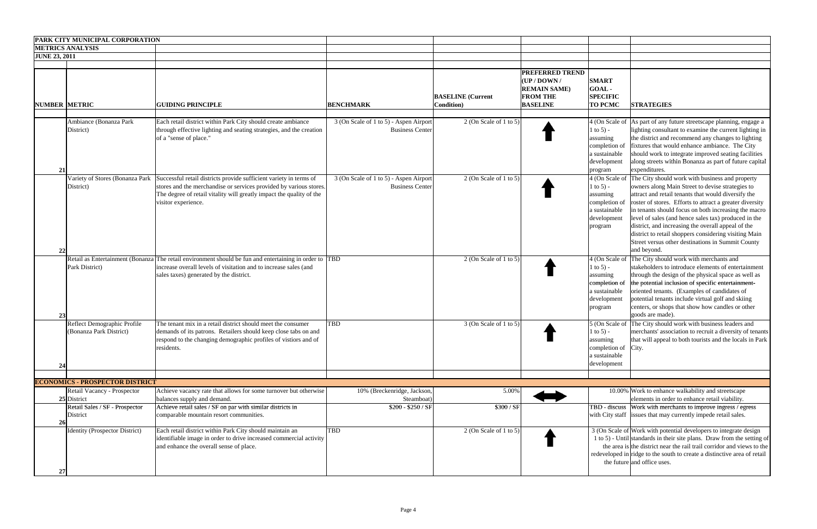| <b>JUNE 23, 2011</b> | <b>PARK CITY MUNICIPAL CORPORATION</b><br><b>METRICS ANALYSIS</b> |                                                                                                                                                                                                                                         |                                                                  |                                                |                                                                                                                                 |                                                                                                     |                                                                                                                                                                                                                                                                                                                                                                                                                                                                                                                           |
|----------------------|-------------------------------------------------------------------|-----------------------------------------------------------------------------------------------------------------------------------------------------------------------------------------------------------------------------------------|------------------------------------------------------------------|------------------------------------------------|---------------------------------------------------------------------------------------------------------------------------------|-----------------------------------------------------------------------------------------------------|---------------------------------------------------------------------------------------------------------------------------------------------------------------------------------------------------------------------------------------------------------------------------------------------------------------------------------------------------------------------------------------------------------------------------------------------------------------------------------------------------------------------------|
| NUMBER METRIC        |                                                                   | <b>GUIDING PRINCIPLE</b>                                                                                                                                                                                                                | <b>BENCHMARK</b>                                                 | <b>BASELINE</b> (Current<br><b>Condition</b> ) | <b>PREFERRED TREND</b><br>$(\mathbf{UP} / \mathbf{D}\mathbf{OWN})$<br><b>REMAIN SAME)</b><br><b>FROM THE</b><br><b>BASELINE</b> | <b>SMART</b><br>GOAL-<br><b>SPECIFIC</b><br><b>TO PCMC</b>                                          | <b>STRATEGIES</b>                                                                                                                                                                                                                                                                                                                                                                                                                                                                                                         |
| 21                   | Ambiance (Bonanza Park<br>District)                               | Each retail district within Park City should create ambiance<br>through effective lighting and seating strategies, and the creation<br>of a "sense of place."                                                                           | 3 (On Scale of 1 to 5) - Aspen Airport<br><b>Business Center</b> | 2 (On Scale of 1 to 5)                         |                                                                                                                                 | 1 to 5) -<br>assuming<br>completion of<br>a sustainable<br>development<br>program                   | 4 (On Scale of As part of any future streetscape planning, engage a<br>lighting consultant to examine the current lighting in<br>the district and recommend any changes to lighting<br>fixtures that would enhance ambiance. The City<br>should work to integrate improved seating facilities<br>along streets within Bonanza as part of future capital<br>expenditures.                                                                                                                                                  |
| 22                   | Variety of Stores (Bonanza Park<br>District)                      | Successful retail districts provide sufficient variety in terms of<br>stores and the merchandise or services provided by various stores.<br>The degree of retail vitality will greatly impact the quality of the<br>visitor experience. | 3 (On Scale of 1 to 5) - Aspen Airport<br><b>Business Center</b> | 2 (On Scale of 1 to 5)                         |                                                                                                                                 | 4 (On Scale of<br>1 to 5) -<br>assuming<br>completion of<br>a sustainable<br>development<br>program | The City should work with business and property<br>owners along Main Street to devise strategies to<br>attract and retail tenants that would diversify the<br>roster of stores. Efforts to attract a greater diversity<br>in tenants should focus on both increasing the macro<br>level of sales (and hence sales tax) produced in the<br>district, and increasing the overall appeal of the<br>district to retail shoppers considering visiting Main<br>Street versus other destinations in Summit County<br>and beyond. |
| 23                   | Park District)                                                    | Retail as Entertainment (Bonanza The retail environment should be fun and entertaining in order to TBD<br>increase overall levels of visitation and to increase sales (and<br>sales taxes) generated by the district.                   |                                                                  | 2 (On Scale of 1 to 5)                         |                                                                                                                                 | 1 to 5) -<br>assuming<br>completion of<br>a sustainable<br>development<br>program                   | 4 (On Scale of The City should work with merchants and<br>stakeholders to introduce elements of entertainment<br>through the design of the physical space as well as<br>the potential inclusion of specific entertainment-<br>oriented tenants. (Examples of candidates of<br>potential tenants include virtual golf and skiing<br>centers, or shops that show how candles or other<br>goods are made).                                                                                                                   |
| 24                   | Reflect Demographic Profile<br>(Bonanza Park District)            | The tenant mix in a retail district should meet the consumer<br>demands of its patrons. Retailers should keep close tabs on and<br>respond to the changing demographic profiles of vistiors and of<br>residents.                        | <b>TBD</b>                                                       | $3$ (On Scale of 1 to 5)                       |                                                                                                                                 | $1$ to $5$ ) -<br>assuming<br>completion of City.<br>a sustainable<br>development                   | 5 (On Scale of The City should work with business leaders and<br>merchants' association to recruit a diversity of tenants<br>that will appeal to both tourists and the locals in Park                                                                                                                                                                                                                                                                                                                                     |
|                      | <b>ECONOMICS - PROSPECTOR DISTRICT</b>                            |                                                                                                                                                                                                                                         |                                                                  |                                                |                                                                                                                                 |                                                                                                     |                                                                                                                                                                                                                                                                                                                                                                                                                                                                                                                           |
|                      | Retail Vacancy - Prospector<br>25 District                        | Achieve vacancy rate that allows for some turnover but otherwise<br>balances supply and demand.                                                                                                                                         | 10% (Breckenridge, Jackson,<br>Steamboat)                        | 5.00%                                          |                                                                                                                                 |                                                                                                     | 10.00% Work to enhance walkability and streetscape<br>elements in order to enhance retail viability.                                                                                                                                                                                                                                                                                                                                                                                                                      |
| 26                   | Retail Sales / SF - Prospector<br>District                        | Achieve retail sales / SF on par with similar districts in<br>comparable mountain resort communities.                                                                                                                                   | \$200 - \$250 / SF                                               | \$300 / SF                                     |                                                                                                                                 |                                                                                                     | TBD - discuss Work with merchants to improve ingress / egress<br>with City staff issues that may currently impede retail sales.                                                                                                                                                                                                                                                                                                                                                                                           |
|                      | Identity (Prospector District)                                    | Each retail district within Park City should maintain an<br>identifiable image in order to drive increased commercial activity<br>and enhance the overall sense of place.                                                               | <b>TBD</b>                                                       | 2 (On Scale of 1 to 5)                         |                                                                                                                                 |                                                                                                     | 3 (On Scale of Work with potential developers to integrate design<br>1 to 5) - Until standards in their site plans. Draw from the setting of<br>the area is the district near the rail trail corridor and views to the<br>redeveloped in ridge to the south to create a distinctive area of retail<br>the future and office uses.                                                                                                                                                                                         |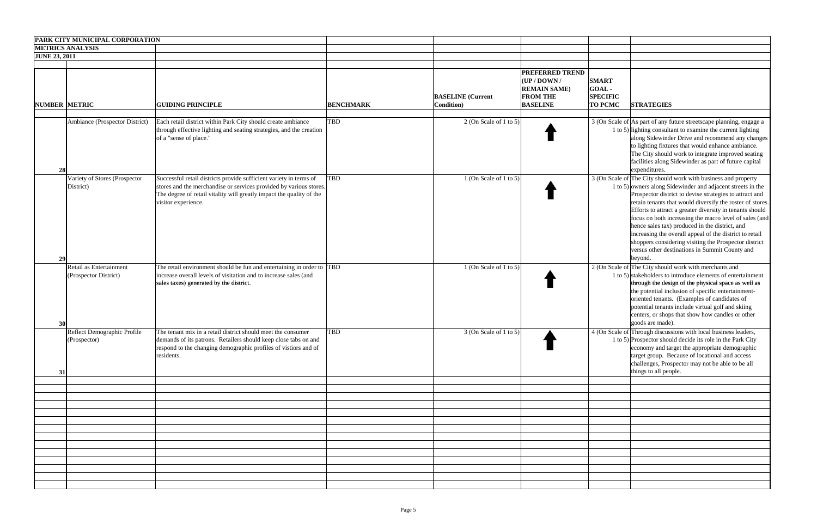|                      | <b>PARK CITY MUNICIPAL CORPORATION</b>           |                                                                                                                                                                                                                                         |                  |                                                |                                                                                                     |                                                            |                                                                                                                                                                                                                                                                                                                                                                                                                                                                                                                                                                                                                |
|----------------------|--------------------------------------------------|-----------------------------------------------------------------------------------------------------------------------------------------------------------------------------------------------------------------------------------------|------------------|------------------------------------------------|-----------------------------------------------------------------------------------------------------|------------------------------------------------------------|----------------------------------------------------------------------------------------------------------------------------------------------------------------------------------------------------------------------------------------------------------------------------------------------------------------------------------------------------------------------------------------------------------------------------------------------------------------------------------------------------------------------------------------------------------------------------------------------------------------|
|                      | <b>METRICS ANALYSIS</b>                          |                                                                                                                                                                                                                                         |                  |                                                |                                                                                                     |                                                            |                                                                                                                                                                                                                                                                                                                                                                                                                                                                                                                                                                                                                |
| <b>JUNE 23, 2011</b> |                                                  |                                                                                                                                                                                                                                         |                  |                                                |                                                                                                     |                                                            |                                                                                                                                                                                                                                                                                                                                                                                                                                                                                                                                                                                                                |
| <b>NUMBER METRIC</b> |                                                  | <b>GUIDING PRINCIPLE</b>                                                                                                                                                                                                                | <b>BENCHMARK</b> | <b>BASELINE</b> (Current<br><b>Condition</b> ) | <b>PREFERRED TREND</b><br>$UP/$ DOWN /<br><b>REMAIN SAME)</b><br><b>FROM THE</b><br><b>BASELINE</b> | <b>SMART</b><br>GOAL-<br><b>SPECIFIC</b><br><b>TO PCMC</b> | <b>STRATEGIES</b>                                                                                                                                                                                                                                                                                                                                                                                                                                                                                                                                                                                              |
| 28                   | Ambiance (Prospector District)                   | Each retail district within Park City should create ambiance<br>through effective lighting and seating strategies, and the creation<br>of a "sense of place."                                                                           | <b>TBD</b>       | 2 (On Scale of 1 to 5)                         |                                                                                                     |                                                            | 3 (On Scale of As part of any future streetscape planning, engage a<br>1 to 5) lighting consultant to examine the current lighting<br>along Sidewinder Drive and recommend any changes<br>to lighting fixtures that would enhance ambiance.<br>The City should work to integrate improved seating<br>facilities along Sidewinder as part of future capital<br>expenditures.                                                                                                                                                                                                                                    |
| 29                   | Variety of Stores (Prospector<br>District)       | Successful retail districts provide sufficient variety in terms of<br>stores and the merchandise or services provided by various stores.<br>The degree of retail vitality will greatly impact the quality of the<br>visitor experience. | <b>TBD</b>       | $1$ (On Scale of 1 to 5)                       |                                                                                                     |                                                            | 3 (On Scale of The City should work with business and property<br>1 to 5) owners along Sidewinder and adjacent streets in the<br>Prospector district to devise strategies to attract and<br>retain tenants that would diversify the roster of stores.<br>Efforts to attract a greater diversity in tenants should<br>focus on both increasing the macro level of sales (and<br>hence sales tax) produced in the district, and<br>increasing the overall appeal of the district to retail<br>shoppers considering visiting the Prospector district<br>versus other destinations in Summit County and<br>beyond. |
|                      | Retail as Entertainment<br>(Prospector District) | The retail environment should be fun and entertaining in order to TBD<br>increase overall levels of visitation and to increase sales (and<br>sales taxes) generated by the district.                                                    |                  | $1$ (On Scale of 1 to 5)                       |                                                                                                     |                                                            | 2 (On Scale of The City should work with merchants and<br>1 to 5) stakeholders to introduce elements of entertainment<br>through the design of the physical space as well as<br>the potential inclusion of specific entertainment-<br>oriented tenants. (Examples of candidates of<br>potential tenants include virtual golf and skiing<br>centers, or shops that show how candles or other<br>goods are made).                                                                                                                                                                                                |
| 31                   | Reflect Demographic Profile<br>(Prospector)      | The tenant mix in a retail district should meet the consumer<br>demands of its patrons. Retailers should keep close tabs on and<br>respond to the changing demographic profiles of vistiors and of<br>residents.                        | <b>TBD</b>       | $3$ (On Scale of 1 to 5)                       |                                                                                                     |                                                            | 4 (On Scale of Through discussions with local business leaders,<br>1 to 5) Prospector should decide its role in the Park City<br>economy and target the appropriate demographic<br>target group. Because of locational and access<br>challenges, Prospector may not be able to be all<br>things to all people.                                                                                                                                                                                                                                                                                                 |
|                      |                                                  |                                                                                                                                                                                                                                         |                  |                                                |                                                                                                     |                                                            |                                                                                                                                                                                                                                                                                                                                                                                                                                                                                                                                                                                                                |
|                      |                                                  |                                                                                                                                                                                                                                         |                  |                                                |                                                                                                     |                                                            |                                                                                                                                                                                                                                                                                                                                                                                                                                                                                                                                                                                                                |
|                      |                                                  |                                                                                                                                                                                                                                         |                  |                                                |                                                                                                     |                                                            |                                                                                                                                                                                                                                                                                                                                                                                                                                                                                                                                                                                                                |
|                      |                                                  |                                                                                                                                                                                                                                         |                  |                                                |                                                                                                     |                                                            |                                                                                                                                                                                                                                                                                                                                                                                                                                                                                                                                                                                                                |
|                      |                                                  |                                                                                                                                                                                                                                         |                  |                                                |                                                                                                     |                                                            |                                                                                                                                                                                                                                                                                                                                                                                                                                                                                                                                                                                                                |
|                      |                                                  |                                                                                                                                                                                                                                         |                  |                                                |                                                                                                     |                                                            |                                                                                                                                                                                                                                                                                                                                                                                                                                                                                                                                                                                                                |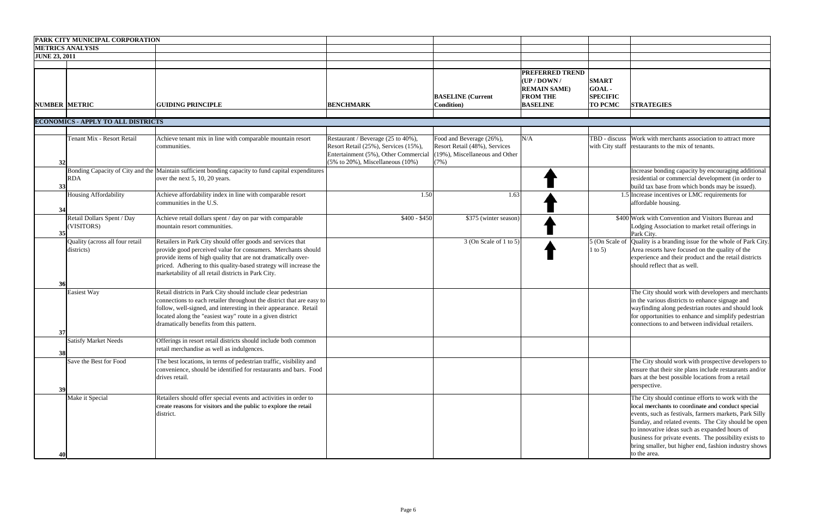|                      | <b>PARK CITY MUNICIPAL CORPORATION</b>        |                                                                                                                                                                                                                                                                                                                          |                                                                                                                                                                         |                                                                                                        |                                                                                                     |                                                            |                                                                                                                                                                                                                                                                                                                                                                                                             |
|----------------------|-----------------------------------------------|--------------------------------------------------------------------------------------------------------------------------------------------------------------------------------------------------------------------------------------------------------------------------------------------------------------------------|-------------------------------------------------------------------------------------------------------------------------------------------------------------------------|--------------------------------------------------------------------------------------------------------|-----------------------------------------------------------------------------------------------------|------------------------------------------------------------|-------------------------------------------------------------------------------------------------------------------------------------------------------------------------------------------------------------------------------------------------------------------------------------------------------------------------------------------------------------------------------------------------------------|
|                      | <b>METRICS ANALYSIS</b>                       |                                                                                                                                                                                                                                                                                                                          |                                                                                                                                                                         |                                                                                                        |                                                                                                     |                                                            |                                                                                                                                                                                                                                                                                                                                                                                                             |
| <b>JUNE 23, 2011</b> |                                               |                                                                                                                                                                                                                                                                                                                          |                                                                                                                                                                         |                                                                                                        |                                                                                                     |                                                            |                                                                                                                                                                                                                                                                                                                                                                                                             |
| <b>NUMBER METRIC</b> |                                               | <b>GUIDING PRINCIPLE</b>                                                                                                                                                                                                                                                                                                 | <b>BENCHMARK</b>                                                                                                                                                        | <b>BASELINE</b> (Current<br><b>Condition</b> )                                                         | <b>PREFERRED TREND</b><br>$UP/$ DOWN /<br><b>REMAIN SAME)</b><br><b>FROM THE</b><br><b>BASELINE</b> | <b>SMART</b><br>GOAL-<br><b>SPECIFIC</b><br><b>TO PCMC</b> | <b>STRATEGIES</b>                                                                                                                                                                                                                                                                                                                                                                                           |
|                      |                                               |                                                                                                                                                                                                                                                                                                                          |                                                                                                                                                                         |                                                                                                        |                                                                                                     |                                                            |                                                                                                                                                                                                                                                                                                                                                                                                             |
|                      | <b>ECONOMICS - APPLY TO ALL DISTRICTS</b>     |                                                                                                                                                                                                                                                                                                                          |                                                                                                                                                                         |                                                                                                        |                                                                                                     |                                                            |                                                                                                                                                                                                                                                                                                                                                                                                             |
| 32                   | Tenant Mix - Resort Retail                    | Achieve tenant mix in line with comparable mountain resort<br>communities.                                                                                                                                                                                                                                               | Restaurant / Beverage (25 to 40%),<br>Resort Retail (25%), Services (15%),<br>Entertainment (5%), Other Commercial<br>$(5\% \text{ to } 20\%)$ , Miscellaneous $(10\%)$ | Food and Beverage (26%),<br>Resort Retail (48%), Services<br>$(19%)$ , Miscellaneous and Other<br>(7%) | N/A                                                                                                 |                                                            | TBD - discuss Work with merchants association to attract more<br>with City staff restaurants to the mix of tenants.                                                                                                                                                                                                                                                                                         |
| 33                   | <b>RDA</b>                                    | Bonding Capacity of City and the Maintain sufficient bonding capacity to fund capital expenditures<br>over the next 5, 10, 20 years.                                                                                                                                                                                     |                                                                                                                                                                         |                                                                                                        |                                                                                                     |                                                            | Increase bonding capacity by encouraging additional<br>residential or commercial development (in order to<br>build tax base from which bonds may be issued).                                                                                                                                                                                                                                                |
| 34                   | Housing Affordability                         | Achieve affordability index in line with comparable resort<br>communities in the U.S.                                                                                                                                                                                                                                    | 1.50                                                                                                                                                                    | 1.63                                                                                                   |                                                                                                     |                                                            | 1.5 Increase incentives or LMC requirements for<br>affordable housing.                                                                                                                                                                                                                                                                                                                                      |
| 35                   | Retail Dollars Spent / Day<br>(VISITORS)      | Achieve retail dollars spent / day on par with comparable<br>mountain resort communities.                                                                                                                                                                                                                                | $$400 - $450$                                                                                                                                                           | \$375 (winter season)                                                                                  |                                                                                                     |                                                            | \$400 Work with Convention and Visitors Bureau and<br>Lodging Association to market retail offerings in<br>Park City.                                                                                                                                                                                                                                                                                       |
| 36                   | Quality (across all four retail<br>districts) | Retailers in Park City should offer goods and services that<br>provide good perceived value for consumers. Merchants should<br>provide items of high quality that are not dramatically over-<br>priced. Adhering to this quality-based strategy will increase the<br>marketability of all retail districts in Park City. |                                                                                                                                                                         | $3$ (On Scale of 1 to 5)                                                                               |                                                                                                     | 1 to 5)                                                    | $\vert$ 5 (On Scale of $\vert$ Quality is a branding issue for the whole of Park City.<br>Area resorts have focused on the quality of the<br>experience and their product and the retail districts<br>should reflect that as well.                                                                                                                                                                          |
| 37                   | <b>Easiest Way</b>                            | Retail districts in Park City should include clear pedestrian<br>connections to each retailer throughout the district that are easy to<br>follow, well-signed, and interesting in their appearance. Retail<br>located along the "easiest way" route in a given district<br>dramatically benefits from this pattern.      |                                                                                                                                                                         |                                                                                                        |                                                                                                     |                                                            | The City should work with developers and merchants<br>in the various districts to enhance signage and<br>wayfinding along pedestrian routes and should look<br>for opportunities to enhance and simplify pedestrian<br>connections to and between individual retailers.                                                                                                                                     |
| 38                   | <b>Satisfy Market Needs</b>                   | Offerings in resort retail districts should include both common<br>retail merchandise as well as indulgences.                                                                                                                                                                                                            |                                                                                                                                                                         |                                                                                                        |                                                                                                     |                                                            |                                                                                                                                                                                                                                                                                                                                                                                                             |
| 39                   | Save the Best for Food                        | The best locations, in terms of pedestrian traffic, visibility and<br>convenience, should be identified for restaurants and bars. Food<br>drives retail.                                                                                                                                                                 |                                                                                                                                                                         |                                                                                                        |                                                                                                     |                                                            | The City should work with prospective developers to<br>ensure that their site plans include restaurants and/or<br>bars at the best possible locations from a retail<br>perspective.                                                                                                                                                                                                                         |
|                      | Make it Special                               | Retailers should offer special events and activities in order to<br>create reasons for visitors and the public to explore the retail<br>district.                                                                                                                                                                        |                                                                                                                                                                         |                                                                                                        |                                                                                                     |                                                            | The City should continue efforts to work with the<br>local merchants to coordinate and conduct special<br>events, such as festivals, farmers markets, Park Silly<br>Sunday, and related events. The City should be open<br>to innovative ideas such as expanded hours of<br>business for private events. The possibility exists to<br>bring smaller, but higher end, fashion industry shows<br>to the area. |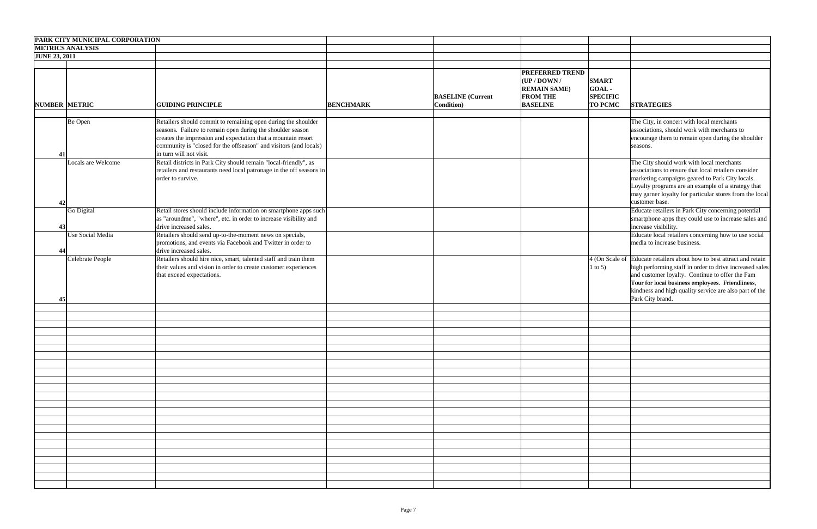|                      | PARK CITY MUNICIPAL CORPORATION |                                                                      |                  |                          |                        |                 |                                                                       |
|----------------------|---------------------------------|----------------------------------------------------------------------|------------------|--------------------------|------------------------|-----------------|-----------------------------------------------------------------------|
|                      | <b>METRICS ANALYSIS</b>         |                                                                      |                  |                          |                        |                 |                                                                       |
| <b>JUNE 23, 2011</b> |                                 |                                                                      |                  |                          |                        |                 |                                                                       |
|                      |                                 |                                                                      |                  |                          |                        |                 |                                                                       |
|                      |                                 |                                                                      |                  |                          | <b>PREFERRED TREND</b> |                 |                                                                       |
|                      |                                 |                                                                      |                  |                          | $ $ (UP / DOWN /       | <b>SMART</b>    |                                                                       |
|                      |                                 |                                                                      |                  |                          | <b>REMAIN SAME)</b>    | GOAL-           |                                                                       |
|                      |                                 |                                                                      |                  | <b>BASELINE</b> (Current | <b>FROM THE</b>        | <b>SPECIFIC</b> |                                                                       |
| <b>NUMBER METRIC</b> |                                 | <b>GUIDING PRINCIPLE</b>                                             | <b>BENCHMARK</b> | <b>Condition</b> )       | <b>BASELINE</b>        | <b>TO PCMC</b>  | <b>STRATEGIES</b>                                                     |
|                      |                                 |                                                                      |                  |                          |                        |                 |                                                                       |
|                      |                                 |                                                                      |                  |                          |                        |                 |                                                                       |
|                      | Be Open                         | Retailers should commit to remaining open during the shoulder        |                  |                          |                        |                 | The City, in concert with local merchants                             |
|                      |                                 | seasons. Failure to remain open during the shoulder season           |                  |                          |                        |                 | associations, should work with merchants to                           |
|                      |                                 | creates the impression and expectation that a mountain resort        |                  |                          |                        |                 | encourage them to remain open during the shoulder                     |
|                      |                                 | community is "closed for the offseason" and visitors (and locals)    |                  |                          |                        |                 | seasons.                                                              |
| 41                   |                                 | in turn will not visit.                                              |                  |                          |                        |                 |                                                                       |
|                      | Locals are Welcome              | Retail districts in Park City should remain "local-friendly", as     |                  |                          |                        |                 | The City should work with local merchants                             |
|                      |                                 | retailers and restaurants need local patronage in the off seasons in |                  |                          |                        |                 | associations to ensure that local retailers consider                  |
|                      |                                 | order to survive.                                                    |                  |                          |                        |                 | marketing campaigns geared to Park City locals.                       |
|                      |                                 |                                                                      |                  |                          |                        |                 | Loyalty programs are an example of a strategy that                    |
|                      |                                 |                                                                      |                  |                          |                        |                 | may garner loyalty for particular stores from the local               |
| 42                   |                                 |                                                                      |                  |                          |                        |                 | customer base.                                                        |
|                      | Go Digital                      | Retail stores should include information on smartphone apps such     |                  |                          |                        |                 | Educate retailers in Park City concerning potential                   |
|                      |                                 | as "aroundme", "where", etc. in order to increase visibility and     |                  |                          |                        |                 | smartphone apps they could use to increase sales and                  |
| 43                   |                                 | drive increased sales.                                               |                  |                          |                        |                 | increase visibility.                                                  |
|                      | Use Social Media                | Retailers should send up-to-the-moment news on specials,             |                  |                          |                        |                 | Educate local retailers concerning how to use social                  |
|                      |                                 | promotions, and events via Facebook and Twitter in order to          |                  |                          |                        |                 | media to increase business.                                           |
| 44                   |                                 | drive increased sales.                                               |                  |                          |                        |                 |                                                                       |
|                      | Celebrate People                | Retailers should hire nice, smart, talented staff and train them     |                  |                          |                        |                 | 4 (On Scale of Educate retailers about how to best attract and retain |
|                      |                                 | their values and vision in order to create customer experiences      |                  |                          |                        | $1$ to 5)       | high performing staff in order to drive increased sales               |
|                      |                                 | that exceed expectations.                                            |                  |                          |                        |                 | and customer loyalty. Continue to offer the Fam                       |
|                      |                                 |                                                                      |                  |                          |                        |                 | Tour for local business employees. Friendliness,                      |
|                      |                                 |                                                                      |                  |                          |                        |                 | kindness and high quality service are also part of the                |
| 45                   |                                 |                                                                      |                  |                          |                        |                 | Park City brand.                                                      |
|                      |                                 |                                                                      |                  |                          |                        |                 |                                                                       |
|                      |                                 |                                                                      |                  |                          |                        |                 |                                                                       |
|                      |                                 |                                                                      |                  |                          |                        |                 |                                                                       |
|                      |                                 |                                                                      |                  |                          |                        |                 |                                                                       |
|                      |                                 |                                                                      |                  |                          |                        |                 |                                                                       |
|                      |                                 |                                                                      |                  |                          |                        |                 |                                                                       |
|                      |                                 |                                                                      |                  |                          |                        |                 |                                                                       |
|                      |                                 |                                                                      |                  |                          |                        |                 |                                                                       |
|                      |                                 |                                                                      |                  |                          |                        |                 |                                                                       |
|                      |                                 |                                                                      |                  |                          |                        |                 |                                                                       |
|                      |                                 |                                                                      |                  |                          |                        |                 |                                                                       |
|                      |                                 |                                                                      |                  |                          |                        |                 |                                                                       |
|                      |                                 |                                                                      |                  |                          |                        |                 |                                                                       |
|                      |                                 |                                                                      |                  |                          |                        |                 |                                                                       |
|                      |                                 |                                                                      |                  |                          |                        |                 |                                                                       |
|                      |                                 |                                                                      |                  |                          |                        |                 |                                                                       |
|                      |                                 |                                                                      |                  |                          |                        |                 |                                                                       |
|                      |                                 |                                                                      |                  |                          |                        |                 |                                                                       |
|                      |                                 |                                                                      |                  |                          |                        |                 |                                                                       |
|                      |                                 |                                                                      |                  |                          |                        |                 |                                                                       |
|                      |                                 |                                                                      |                  |                          |                        |                 |                                                                       |
|                      |                                 |                                                                      |                  |                          |                        |                 |                                                                       |
|                      |                                 |                                                                      |                  |                          |                        |                 |                                                                       |
|                      |                                 |                                                                      |                  |                          |                        |                 |                                                                       |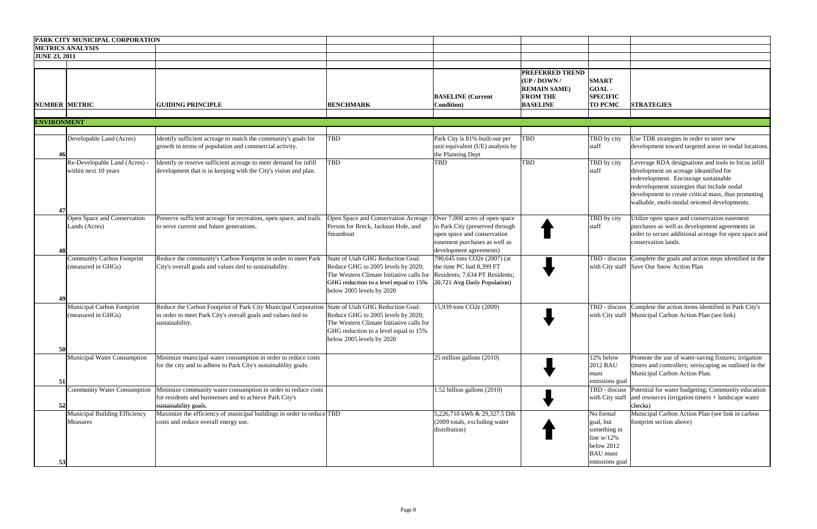|                      | <b>PARK CITY MUNICIPAL CORPORATION</b>                  |                                                                                                                                                                                      |                                                                                                                                                                                           |                                                                                                                                                              |                                                                                                                                    |                                                                                                            |                                                                                                                                                                                                                                                                                             |
|----------------------|---------------------------------------------------------|--------------------------------------------------------------------------------------------------------------------------------------------------------------------------------------|-------------------------------------------------------------------------------------------------------------------------------------------------------------------------------------------|--------------------------------------------------------------------------------------------------------------------------------------------------------------|------------------------------------------------------------------------------------------------------------------------------------|------------------------------------------------------------------------------------------------------------|---------------------------------------------------------------------------------------------------------------------------------------------------------------------------------------------------------------------------------------------------------------------------------------------|
|                      | <b>METRICS ANALYSIS</b>                                 |                                                                                                                                                                                      |                                                                                                                                                                                           |                                                                                                                                                              |                                                                                                                                    |                                                                                                            |                                                                                                                                                                                                                                                                                             |
| <b>JUNE 23, 2011</b> |                                                         |                                                                                                                                                                                      |                                                                                                                                                                                           |                                                                                                                                                              |                                                                                                                                    |                                                                                                            |                                                                                                                                                                                                                                                                                             |
| <b>NUMBER METRIC</b> |                                                         | <b>GUIDING PRINCIPLE</b>                                                                                                                                                             | <b>BENCHMARK</b>                                                                                                                                                                          | <b>BASELINE</b> (Current<br><b>Condition</b> )                                                                                                               | <b>PREFERRED TREND</b><br>$(\mathbf{UP} / \mathbf{D}\mathbf{OWN} / )$<br><b>REMAIN SAME)</b><br><b>FROM THE</b><br><b>BASELINE</b> | <b>SMART</b><br>GOAL-<br><b>SPECIFIC</b><br><b>TO PCMC</b>                                                 | <b>STRATEGIES</b>                                                                                                                                                                                                                                                                           |
| <b>ENVIRONMENT</b>   |                                                         |                                                                                                                                                                                      |                                                                                                                                                                                           |                                                                                                                                                              |                                                                                                                                    |                                                                                                            |                                                                                                                                                                                                                                                                                             |
|                      |                                                         |                                                                                                                                                                                      |                                                                                                                                                                                           |                                                                                                                                                              |                                                                                                                                    |                                                                                                            |                                                                                                                                                                                                                                                                                             |
| 46                   | Developable Land (Acres)                                | Identify sufficient acreage to match the community's goals for<br>growth in terms of population and commercial activity.                                                             | <b>TBD</b>                                                                                                                                                                                | Park City is 81% built-out per<br>unit equivalent (UE) analysis by<br>the Planning Dept                                                                      | <b>TBD</b>                                                                                                                         | TBD by city<br>staff                                                                                       | Use TDR strategies in order to steer new<br>development toward targeted areas in nodal locations.                                                                                                                                                                                           |
| 47                   | Re-Developable Land (Acres) -<br>within next 10 years   | Identify or reserve sufficient acreage to meet demand for infill<br>development that is in keeping with the City's vision and plan.                                                  | <b>TBD</b>                                                                                                                                                                                | TBD                                                                                                                                                          | <b>TBD</b>                                                                                                                         | TBD by city<br>staff                                                                                       | Leverage RDA designations and tools to focus infill<br>development on acreage ideantified for<br>redevelopment. Encourage sustainable<br>redevelopment strategies that include nodal<br>development to create critical mass, thus promoting<br>walkable, multi-modal oriented developments. |
| 48                   | Open Space and Conservation<br>Lands (Acres)            | Preserve sufficient acreage for recreation, open space, and trails<br>to serve current and future generations.                                                                       | Open Space and Conservation Acreage<br>Person for Breck, Jackson Hole, and<br>Steamboat                                                                                                   | Over 7,000 acres of open space<br>in Park City (preserved through<br>open space and conservation<br>easement purchases as well as<br>development agreements) |                                                                                                                                    | TBD by city<br>staff                                                                                       | Utilize open space and conservation easement<br>purchases as well as development agreements in<br>order to secure additional acreage for open space and<br>conservation lands.                                                                                                              |
| 49                   | <b>Community Carbon Footprint</b><br>(measured in GHGs) | Reduce the community's Carbon Footprint in order to meet Park<br>City's overall goals and values tied to sustainability.                                                             | State of Utah GHG Reduction Goal:<br>Reduce GHG to 2005 levels by 2020;<br>The Western Climate Initiative calls for<br>GHG reduction to a level equal to 15%<br>below 2005 levels by 2020 | 790,645 tons CO2e (2007) (at<br>the time PC had 8,399 FT<br>Residents; 7,634 PT Residents;<br>20,721 Avg Daily Population)                                   |                                                                                                                                    | TBD - discuss                                                                                              | Complete the goals and action steps identified in the<br>with City staff Save Our Snow Action Plan                                                                                                                                                                                          |
|                      | Municipal Carbon Footprint<br>(measured in GHGs)        | Reduce the Carbon Footprint of Park City Municipal Corporation State of Utah GHG Reduction Goal:<br>in order to meet Park City's overall goals and values tied to<br>sustainability. | Reduce GHG to 2005 levels by 2020;<br>The Western Climate Initiative calls for<br>GHG reduction to a level equal to 15%<br>below 2005 levels by 2020                                      | 15,939 tons CO2e (2009)                                                                                                                                      |                                                                                                                                    | TBD - discuss                                                                                              | Complete the action items identified in Park City's<br>with City staff   Municipal Carbon Action Plan (see link)                                                                                                                                                                            |
| 50<br>51             | <b>Municipal Water Consumption</b>                      | Minimize municipal water consumption in order to reduce costs<br>for the city and to adhere to Park City's sustainability goals.                                                     |                                                                                                                                                                                           | $25$ million gallons $(2010)$                                                                                                                                |                                                                                                                                    | 12% below<br>2012 BAU<br>muni<br>emissions goal                                                            | Promote the use of water-saving fixtures; irrigation<br>timers and controllers; xeriscaping as outlined in the<br>Municipal Carbon Action Plan.                                                                                                                                             |
| 52                   | <b>Community Water Consumption</b>                      | Minimize community water consumption in order to reduce costs<br>for residents and businesses and to achieve Park City's<br>sustainability goals.                                    |                                                                                                                                                                                           | 1.52 billion gallons (2010)                                                                                                                                  |                                                                                                                                    |                                                                                                            | TBD - discuss Potential for water budgeting; Community education<br>with City staff $\vert$ and resources (irrigation timers + landscape water<br>checks)                                                                                                                                   |
| 53                   | Municipal Building Efficiency<br><b>Measures</b>        | Maximize the efficiency of municipal buildings in order to reduce TBD<br>costs and reduce overall energy use.                                                                        |                                                                                                                                                                                           | 5,226,710 kWh & 29,327.5 Dth<br>(2009 totals, excluding water<br>distribution)                                                                               |                                                                                                                                    | No formal<br>goal, but<br>something in<br>line $w/12\%$<br>below 2012<br><b>BAU</b> muni<br>emissions goal | Municipal Carbon Action Plan (see link in carbon<br>footprint section above)                                                                                                                                                                                                                |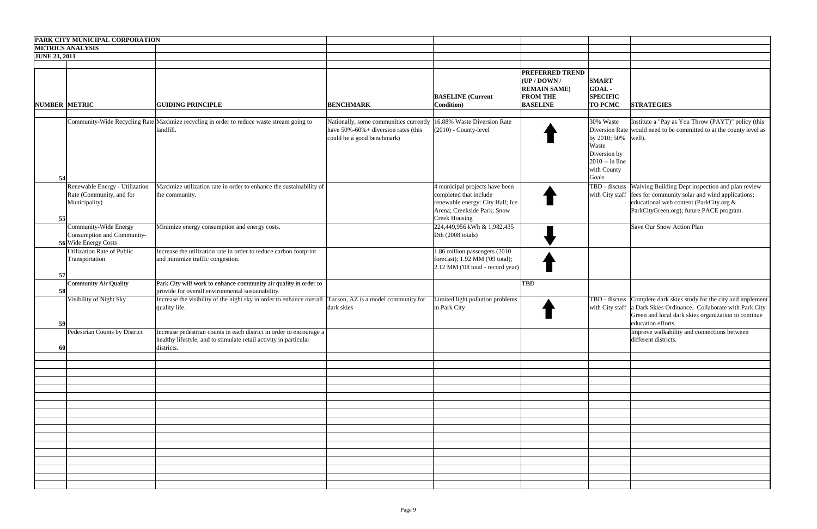|                      | PARK CITY MUNICIPAL CORPORATION                                             |                                                                                                                                                        |                                                                                                                                                |                                                                                                                                                     |                                                                                                         |                                                                                                       |                                                                                                                                                                                                                            |
|----------------------|-----------------------------------------------------------------------------|--------------------------------------------------------------------------------------------------------------------------------------------------------|------------------------------------------------------------------------------------------------------------------------------------------------|-----------------------------------------------------------------------------------------------------------------------------------------------------|---------------------------------------------------------------------------------------------------------|-------------------------------------------------------------------------------------------------------|----------------------------------------------------------------------------------------------------------------------------------------------------------------------------------------------------------------------------|
|                      | <b>METRICS ANALYSIS</b>                                                     |                                                                                                                                                        |                                                                                                                                                |                                                                                                                                                     |                                                                                                         |                                                                                                       |                                                                                                                                                                                                                            |
| <b>JUNE 23, 2011</b> |                                                                             |                                                                                                                                                        |                                                                                                                                                |                                                                                                                                                     |                                                                                                         |                                                                                                       |                                                                                                                                                                                                                            |
| NUMBER METRIC        |                                                                             | <b>GUIDING PRINCIPLE</b>                                                                                                                               | <b>BENCHMARK</b>                                                                                                                               | <b>BASELINE</b> (Current<br><b>Condition</b> )                                                                                                      | <b>PREFERRED TREND</b><br>$ $ (UP / DOWN /<br><b>REMAIN SAME)</b><br><b>FROM THE</b><br><b>BASELINE</b> | <b>SMART</b><br>GOAL-<br><b>SPECIFIC</b><br><b>TO PCMC</b>                                            | <b>STRATEGIES</b>                                                                                                                                                                                                          |
| 54                   |                                                                             | Community-Wide Recycling Rate Maximize recycling in order to reduce waste stream going to<br>landfill.                                                 | Nationally, some communities currently 16.88% Waste Diversion Rate<br>have $50\% - 60\% +$ diversion rates (this<br>could be a good benchmark) | (2010) - County-level                                                                                                                               |                                                                                                         | 30% Waste<br>by 2010; 50% well).<br>Waste<br>Diversion by<br>$2010 - in line$<br>with County<br>Goals | Institute a "Pay as You Throw (PAYT)" policy (this<br>Diversion Rate would need to be committed to at the county level as                                                                                                  |
| 55                   | Renewable Energy - Utilization<br>Rate (Community, and for<br>Municipality) | Maximize utilization rate in order to enhance the sustainability of<br>the community.                                                                  |                                                                                                                                                | 4 municipal projects have been<br>completed that include<br>renewable energy: City Hall; Ice<br>Arena; Creekside Park; Snow<br><b>Creek Housing</b> |                                                                                                         |                                                                                                       | TBD - discuss Waiving Building Dept inspection and plan review<br>with City staff   fees for community solar and wind applications;<br>educational web content (ParkCity.org &<br>ParkCityGreen.org); future PACE program. |
|                      | Community-Wide Energy<br>Consumption and Community-<br>56 Wide Energy Costs | Minimize energy consumption and energy costs.                                                                                                          |                                                                                                                                                | 224,449,956 kWh & 1,982,435<br>Dth (2008 totals)                                                                                                    |                                                                                                         |                                                                                                       | Save Our Snow Action Plan                                                                                                                                                                                                  |
| 57                   | <b>Jtilization Rate of Public</b><br>Transportation                         | Increase the utilization rate in order to reduce carbon footprint<br>and minimize traffic congestion.                                                  |                                                                                                                                                | 1.86 million passengers (2010)<br>forecast); 1.92 MM ('09 total);<br>2.12 MM ('08 total - record year)                                              |                                                                                                         |                                                                                                       |                                                                                                                                                                                                                            |
| 58                   | <b>Community Air Quality</b>                                                | Park City will work to enhance community air quality in order to<br>provide for overall environmental sustainability.                                  |                                                                                                                                                |                                                                                                                                                     | <b>TBD</b>                                                                                              |                                                                                                       |                                                                                                                                                                                                                            |
| 59                   | Visibility of Night Sky                                                     | Increase the visibility of the night sky in order to enhance overall Tucson, AZ is a model community for<br>quality life.                              | dark skies                                                                                                                                     | Limited light pollution problems<br>in Park City                                                                                                    |                                                                                                         |                                                                                                       | TBD - discuss Complete dark skies study for the city and implement<br>with City staff a Dark Skies Ordinance. Collaborate with Park City<br>Green and local dark skies organization to continue<br>education efforts.      |
| 60                   | Pedestrian Counts by District                                               | Increase pedestrian counts in each district in order to encourage a<br>healthy lifestyle, and to stimulate retail activity in particular<br>districts. |                                                                                                                                                |                                                                                                                                                     |                                                                                                         |                                                                                                       | Improve walkability and connections between<br>different districts.                                                                                                                                                        |
|                      |                                                                             |                                                                                                                                                        |                                                                                                                                                |                                                                                                                                                     |                                                                                                         |                                                                                                       |                                                                                                                                                                                                                            |
|                      |                                                                             |                                                                                                                                                        |                                                                                                                                                |                                                                                                                                                     |                                                                                                         |                                                                                                       |                                                                                                                                                                                                                            |
|                      |                                                                             |                                                                                                                                                        |                                                                                                                                                |                                                                                                                                                     |                                                                                                         |                                                                                                       |                                                                                                                                                                                                                            |
|                      |                                                                             |                                                                                                                                                        |                                                                                                                                                |                                                                                                                                                     |                                                                                                         |                                                                                                       |                                                                                                                                                                                                                            |
|                      |                                                                             |                                                                                                                                                        |                                                                                                                                                |                                                                                                                                                     |                                                                                                         |                                                                                                       |                                                                                                                                                                                                                            |
|                      |                                                                             |                                                                                                                                                        |                                                                                                                                                |                                                                                                                                                     |                                                                                                         |                                                                                                       |                                                                                                                                                                                                                            |
|                      |                                                                             |                                                                                                                                                        |                                                                                                                                                |                                                                                                                                                     |                                                                                                         |                                                                                                       |                                                                                                                                                                                                                            |
|                      |                                                                             |                                                                                                                                                        |                                                                                                                                                |                                                                                                                                                     |                                                                                                         |                                                                                                       |                                                                                                                                                                                                                            |
|                      |                                                                             |                                                                                                                                                        |                                                                                                                                                |                                                                                                                                                     |                                                                                                         |                                                                                                       |                                                                                                                                                                                                                            |
|                      |                                                                             |                                                                                                                                                        |                                                                                                                                                |                                                                                                                                                     |                                                                                                         |                                                                                                       |                                                                                                                                                                                                                            |
|                      |                                                                             |                                                                                                                                                        |                                                                                                                                                |                                                                                                                                                     |                                                                                                         |                                                                                                       |                                                                                                                                                                                                                            |